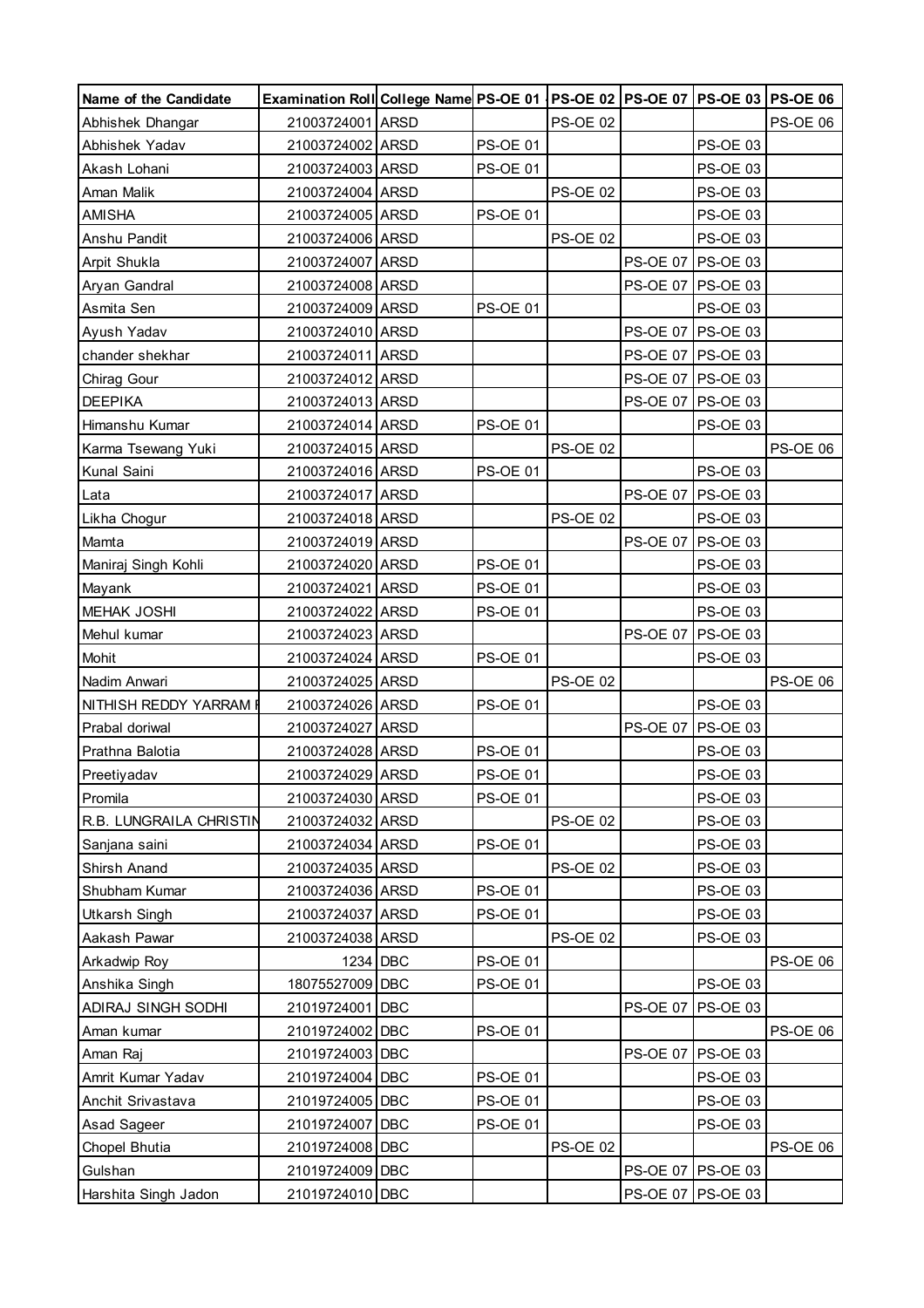| Name of the Candidate   | Examination Roll College Name PS-OE 01   PS-OE 02   PS-OE 07   PS-OE 03   PS-OE 06 |          |                 |                 |                   |                   |                 |
|-------------------------|------------------------------------------------------------------------------------|----------|-----------------|-----------------|-------------------|-------------------|-----------------|
| Abhishek Dhangar        | 21003724001 ARSD                                                                   |          |                 | <b>PS-OE 02</b> |                   |                   | PS-OE 06        |
| Abhishek Yadav          | 21003724002 ARSD                                                                   |          | <b>PS-OE 01</b> |                 |                   | <b>PS-OE 03</b>   |                 |
| Akash Lohani            | 21003724003 ARSD                                                                   |          | <b>PS-OE 01</b> |                 |                   | PS-OE 03          |                 |
| Aman Malik              | 21003724004 ARSD                                                                   |          |                 | <b>PS-OE 02</b> |                   | <b>PS-OE 03</b>   |                 |
| <b>AMISHA</b>           | 21003724005 ARSD                                                                   |          | <b>PS-OE 01</b> |                 |                   | <b>PS-OE 03</b>   |                 |
| Anshu Pandit            | 21003724006 ARSD                                                                   |          |                 | <b>PS-OE 02</b> |                   | PS-OE 03          |                 |
| Arpit Shukla            | 21003724007 ARSD                                                                   |          |                 |                 | PS-OE 07 PS-OE 03 |                   |                 |
| Aryan Gandral           | 21003724008 ARSD                                                                   |          |                 |                 |                   | PS-OE 07 PS-OE 03 |                 |
| Asmita Sen              | 21003724009 ARSD                                                                   |          | <b>PS-OE 01</b> |                 |                   | <b>PS-OE 03</b>   |                 |
| Ayush Yadav             | 21003724010 ARSD                                                                   |          |                 |                 |                   | PS-OE 07 PS-OE 03 |                 |
| chander shekhar         | 21003724011 ARSD                                                                   |          |                 |                 |                   | PS-OE 07 PS-OE 03 |                 |
| Chirag Gour             | 21003724012 ARSD                                                                   |          |                 |                 |                   | PS-OE 07 PS-OE 03 |                 |
| <b>DEEPIKA</b>          | 21003724013 ARSD                                                                   |          |                 |                 | PS-OE 07 PS-OE 03 |                   |                 |
| Himanshu Kumar          | 21003724014 ARSD                                                                   |          | <b>PS-OE 01</b> |                 |                   | PS-OE 03          |                 |
| Karma Tsewang Yuki      | 21003724015 ARSD                                                                   |          |                 | <b>PS-OE 02</b> |                   |                   | <b>PS-OE 06</b> |
| Kunal Saini             | 21003724016 ARSD                                                                   |          | <b>PS-OE 01</b> |                 |                   | <b>PS-OE 03</b>   |                 |
| Lata                    | 21003724017 ARSD                                                                   |          |                 |                 | <b>PS-OE 07</b>   | <b>PS-OE 03</b>   |                 |
| Likha Chogur            | 21003724018 ARSD                                                                   |          |                 | <b>PS-OE 02</b> |                   | PS-OE 03          |                 |
| Mamta                   | 21003724019 ARSD                                                                   |          |                 |                 | <b>PS-OE 07</b>   | <b>PS-OE 03</b>   |                 |
| Maniraj Singh Kohli     | 21003724020 ARSD                                                                   |          | <b>PS-OE 01</b> |                 |                   | <b>PS-OE 03</b>   |                 |
| Mayank                  | 21003724021 ARSD                                                                   |          | <b>PS-OE 01</b> |                 |                   | PS-OE 03          |                 |
| <b>MEHAK JOSHI</b>      | 21003724022 ARSD                                                                   |          | <b>PS-OE 01</b> |                 |                   | PS-OE 03          |                 |
| Mehul kumar             | 21003724023 ARSD                                                                   |          |                 |                 | <b>PS-OE 07</b>   | <b>PS-OE 03</b>   |                 |
| Mohit                   | 21003724024 ARSD                                                                   |          | <b>PS-OE 01</b> |                 |                   | <b>PS-OE 03</b>   |                 |
| Nadim Anwari            | 21003724025 ARSD                                                                   |          |                 | <b>PS-OE 02</b> |                   |                   | <b>PS-OE 06</b> |
| NITHISH REDDY YARRAM    | 21003724026 ARSD                                                                   |          | <b>PS-OE 01</b> |                 |                   | <b>PS-OE 03</b>   |                 |
| Prabal doriwal          | 21003724027 ARSD                                                                   |          |                 |                 | <b>PS-OE 07</b>   | <b>PS-OE 03</b>   |                 |
| Prathna Balotia         | 21003724028 ARSD                                                                   |          | <b>PS-OE 01</b> |                 |                   | PS-OE 03          |                 |
| Preetiyadav             | 21003724029 ARSD                                                                   |          | <b>PS-OE 01</b> |                 |                   | PS-OE 03          |                 |
| Promila                 | 21003724030 ARSD                                                                   |          | <b>PS-OE 01</b> |                 |                   | PS-OE 03          |                 |
| R.B. LUNGRAILA CHRISTIN | 21003724032 ARSD                                                                   |          |                 | <b>PS-OE 02</b> |                   | <b>PS-OE 03</b>   |                 |
| Sanjana saini           | 21003724034 ARSD                                                                   |          | <b>PS-OE 01</b> |                 |                   | <b>PS-OE 03</b>   |                 |
| <b>Shirsh Anand</b>     | 21003724035 ARSD                                                                   |          |                 | <b>PS-OE 02</b> |                   | <b>PS-OE 03</b>   |                 |
| Shubham Kumar           | 21003724036 ARSD                                                                   |          | <b>PS-OE 01</b> |                 |                   | PS-OE 03          |                 |
| <b>Utkarsh Singh</b>    | 21003724037 ARSD                                                                   |          | <b>PS-OE 01</b> |                 |                   | <b>PS-OE 03</b>   |                 |
| Aakash Pawar            | 21003724038 ARSD                                                                   |          |                 | <b>PS-OE 02</b> |                   | PS-OE 03          |                 |
| Arkadwip Roy            |                                                                                    | 1234 DBC | <b>PS-OE 01</b> |                 |                   |                   | <b>PS-OE 06</b> |
| Anshika Singh           | 18075527009 DBC                                                                    |          | <b>PS-OE 01</b> |                 |                   | PS-OE 03          |                 |
| ADIRAJ SINGH SODHI      | 21019724001 DBC                                                                    |          |                 |                 | <b>PS-OE 07</b>   | <b>PS-OE 03</b>   |                 |
| Aman kumar              | 21019724002 DBC                                                                    |          | <b>PS-OE 01</b> |                 |                   |                   | PS-OE 06        |
| Aman Raj                | 21019724003 DBC                                                                    |          |                 |                 | <b>PS-OE 07</b>   | <b>PS-OE 03</b>   |                 |
| Amrit Kumar Yadav       | 21019724004 DBC                                                                    |          | <b>PS-OE 01</b> |                 |                   | PS-OE 03          |                 |
| Anchit Srivastava       | 21019724005 DBC                                                                    |          | <b>PS-OE 01</b> |                 |                   | <b>PS-OE 03</b>   |                 |
| Asad Sageer             | 21019724007                                                                        | DBC      | <b>PS-OE 01</b> |                 |                   | PS-OE 03          |                 |
| <b>Chopel Bhutia</b>    | 21019724008 DBC                                                                    |          |                 | <b>PS-OE 02</b> |                   |                   | <b>PS-OE 06</b> |
| Gulshan                 | 21019724009 DBC                                                                    |          |                 |                 |                   | PS-OE 07 PS-OE 03 |                 |
| Harshita Singh Jadon    | 21019724010 DBC                                                                    |          |                 |                 |                   | PS-OE 07 PS-OE 03 |                 |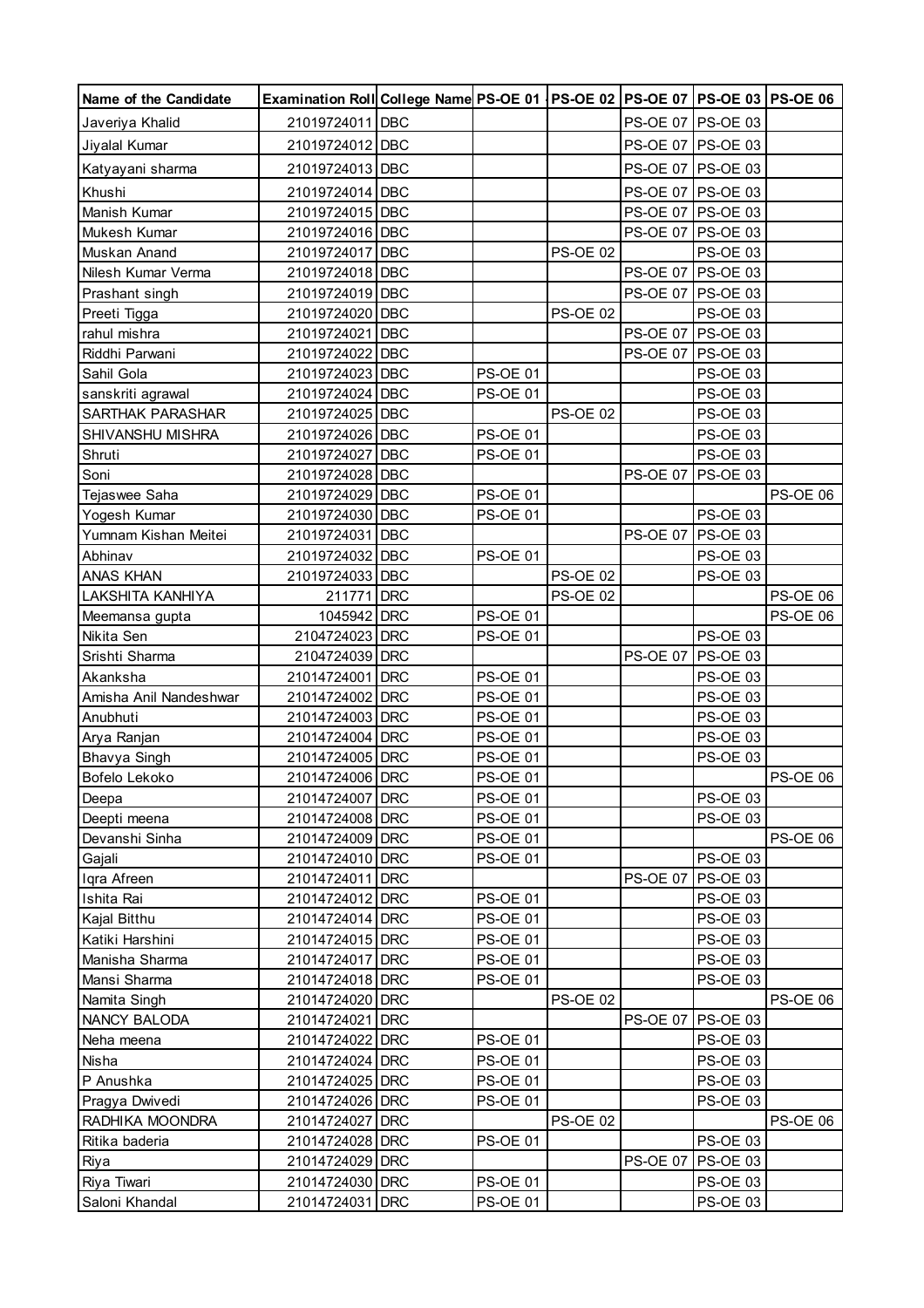| Name of the Candidate             | Examination Roll College Name PS-OE 01   PS-OE 02   PS-OE 07   PS-OE 03   PS-OE 06 |                                    |                 |                 |                             |                 |
|-----------------------------------|------------------------------------------------------------------------------------|------------------------------------|-----------------|-----------------|-----------------------------|-----------------|
| Javeriya Khalid                   | 21019724011 DBC                                                                    |                                    |                 |                 | PS-OE 07 PS-OE 03           |                 |
| Jiyalal Kumar                     | 21019724012 DBC                                                                    |                                    |                 |                 | PS-OE 07 PS-OE 03           |                 |
| Katyayani sharma                  | 21019724013 DBC                                                                    |                                    |                 |                 | PS-OE 07   PS-OE 03         |                 |
| Khushi                            | 21019724014 DBC                                                                    |                                    |                 |                 | PS-OE 07 PS-OE 03           |                 |
| Manish Kumar                      | 21019724015 DBC                                                                    |                                    |                 |                 | PS-OE 07 PS-OE 03           |                 |
| Mukesh Kumar                      | 21019724016 DBC                                                                    |                                    |                 |                 | PS-OE 07 PS-OE 03           |                 |
| Muskan Anand                      | 21019724017 DBC                                                                    |                                    | <b>PS-OE 02</b> |                 | PS-OE 03                    |                 |
| Nilesh Kumar Verma                | 21019724018 DBC                                                                    |                                    |                 |                 | PS-OE 07 PS-OE 03           |                 |
| Prashant singh                    | 21019724019 DBC                                                                    |                                    |                 |                 | PS-OE 07 PS-OE 03           |                 |
| Preeti Tigga                      | 21019724020 DBC                                                                    |                                    | <b>PS-OE 02</b> |                 | PS-OE 03                    |                 |
| rahul mishra                      | 21019724021 DBC                                                                    |                                    |                 |                 | PS-OE 07 PS-OE 03           |                 |
| Riddhi Parwani                    | 21019724022 DBC                                                                    |                                    |                 |                 | PS-OE 07   PS-OE 03         |                 |
| Sahil Gola                        | 21019724023 DBC                                                                    | <b>PS-OE 01</b>                    |                 |                 | <b>PS-OE 03</b>             |                 |
| sanskriti agrawal                 | 21019724024 DBC                                                                    | <b>PS-OE 01</b>                    |                 |                 | <b>PS-OE 03</b>             |                 |
| SARTHAK PARASHAR                  | 21019724025 DBC                                                                    |                                    | <b>PS-OE 02</b> |                 | <b>PS-OE 03</b>             |                 |
| SHIVANSHU MISHRA                  | 21019724026 DBC                                                                    | <b>PS-OE 01</b>                    |                 |                 | PS-OE 03                    |                 |
| Shruti                            | 21019724027 DBC                                                                    | <b>PS-OE 01</b>                    |                 |                 | PS-OE 03                    |                 |
| Soni                              | 21019724028 DBC                                                                    |                                    |                 | <b>PS-OE 07</b> | PS-OE 03                    |                 |
| Tejaswee Saha                     | 21019724029 DBC                                                                    | <b>PS-OE 01</b>                    |                 |                 |                             | PS-OE 06        |
| Yogesh Kumar                      | 21019724030 DBC                                                                    | <b>PS-OE 01</b>                    |                 |                 | <b>PS-OE 03</b>             |                 |
| Yumnam Kishan Meitei              | 21019724031 DBC                                                                    |                                    |                 | <b>PS-OE 07</b> | <b>PS-OE 03</b>             |                 |
| Abhinav                           | 21019724032 DBC                                                                    | <b>PS-OE 01</b>                    |                 |                 | PS-OE 03                    |                 |
| <b>ANAS KHAN</b>                  | 21019724033 DBC                                                                    |                                    | <b>PS-OE 02</b> |                 | PS-OE 03                    |                 |
| LAKSHITA KANHIYA                  | 211771 DRC                                                                         |                                    | <b>PS-OE 02</b> |                 |                             | PS-OE 06        |
| Meemansa gupta                    | 1045942 DRC                                                                        | <b>PS-OE 01</b>                    |                 |                 |                             | PS-OE 06        |
| Nikita Sen                        | 2104724023 DRC                                                                     | <b>PS-OE 01</b>                    |                 |                 | PS-OE 03                    |                 |
| Srishti Sharma                    | 2104724039 DRC                                                                     |                                    |                 | <b>PS-OE 07</b> | <b>PS-OE 03</b>             |                 |
| Akanksha                          | 21014724001 DRC                                                                    | <b>PS-OE 01</b>                    |                 |                 | PS-OE 03                    |                 |
| Amisha Anil Nandeshwar            | 21014724002 DRC                                                                    | <b>PS-OE 01</b>                    |                 |                 | <b>PS-OE 03</b>             |                 |
| Anubhuti                          | 21014724003 DRC                                                                    | <b>PS-OE 01</b>                    |                 |                 | <b>PS-OE 03</b>             |                 |
| Arya Ranjan                       | 21014724004 DRC                                                                    | <b>PS-OE 01</b>                    |                 |                 | <b>PS-OE 03</b>             |                 |
| <b>Bhavya Singh</b>               | 21014724005 DRC                                                                    | <b>PS-OE 01</b>                    |                 |                 | <b>PS-OE 03</b>             |                 |
| Bofelo Lekoko                     | 21014724006 DRC                                                                    | <b>PS-OE 01</b>                    |                 |                 |                             | <b>PS-OE 06</b> |
| Deepa                             | 21014724007 DRC                                                                    | <b>PS-OE 01</b>                    |                 |                 | PS-OE 03                    |                 |
| Deepti meena                      | 21014724008 DRC                                                                    | <b>PS-OE 01</b>                    |                 |                 | PS-OE 03                    |                 |
| Devanshi Sinha                    | 21014724009 DRC                                                                    | <b>PS-OE 01</b>                    |                 |                 |                             | <b>PS-OE 06</b> |
| Gajali                            | 21014724010 DRC                                                                    | <b>PS-OE 01</b>                    |                 |                 | PS-OE 03                    |                 |
| Iqra Afreen                       | 21014724011 DRC                                                                    |                                    |                 | PS-OE 07        | <b>PS-OE 03</b>             |                 |
| Ishita Rai                        | 21014724012 DRC                                                                    | <b>PS-OE 01</b>                    |                 |                 | <b>PS-OE 03</b><br>PS-OE 03 |                 |
| Kajal Bitthu                      | 21014724014 DRC                                                                    | <b>PS-OE 01</b><br><b>PS-OE 01</b> |                 |                 | PS-OE 03                    |                 |
| Katiki Harshini<br>Manisha Sharma | 21014724015 DRC<br>21014724017 DRC                                                 | <b>PS-OE 01</b>                    |                 |                 | PS-OE 03                    |                 |
| Mansi Sharma                      | 21014724018 DRC                                                                    | <b>PS-OE 01</b>                    |                 |                 | PS-OE 03                    |                 |
| Namita Singh                      | 21014724020 DRC                                                                    |                                    | <b>PS-OE 02</b> |                 |                             | <b>PS-OE 06</b> |
| NANCY BALODA                      | 21014724021 DRC                                                                    |                                    |                 | <b>PS-OE 07</b> | PS-OE 03                    |                 |
| Neha meena                        | 21014724022 DRC                                                                    | <b>PS-OE 01</b>                    |                 |                 | PS-OE 03                    |                 |
| Nisha                             | 21014724024 DRC                                                                    | <b>PS-OE 01</b>                    |                 |                 | PS-OE 03                    |                 |
| P Anushka                         | 21014724025 DRC                                                                    | <b>PS-OE 01</b>                    |                 |                 | PS-OE 03                    |                 |
| Pragya Dwivedi                    | 21014724026 DRC                                                                    | <b>PS-OE 01</b>                    |                 |                 | PS-OE 03                    |                 |
| RADHIKA MOONDRA                   | 21014724027 DRC                                                                    |                                    | <b>PS-OE 02</b> |                 |                             | <b>PS-OE 06</b> |
| Ritika baderia                    | 21014724028 DRC                                                                    | PS-OE 01                           |                 |                 | PS-OE 03                    |                 |
| Riya                              | 21014724029 DRC                                                                    |                                    |                 | <b>PS-OE 07</b> | <b>PS-OE 03</b>             |                 |
| Riya Tiwari                       | 21014724030 DRC                                                                    | <b>PS-OE 01</b>                    |                 |                 | PS-OE 03                    |                 |
| Saloni Khandal                    | 21014724031 DRC                                                                    | <b>PS-OE 01</b>                    |                 |                 | PS-OE 03                    |                 |
|                                   |                                                                                    |                                    |                 |                 |                             |                 |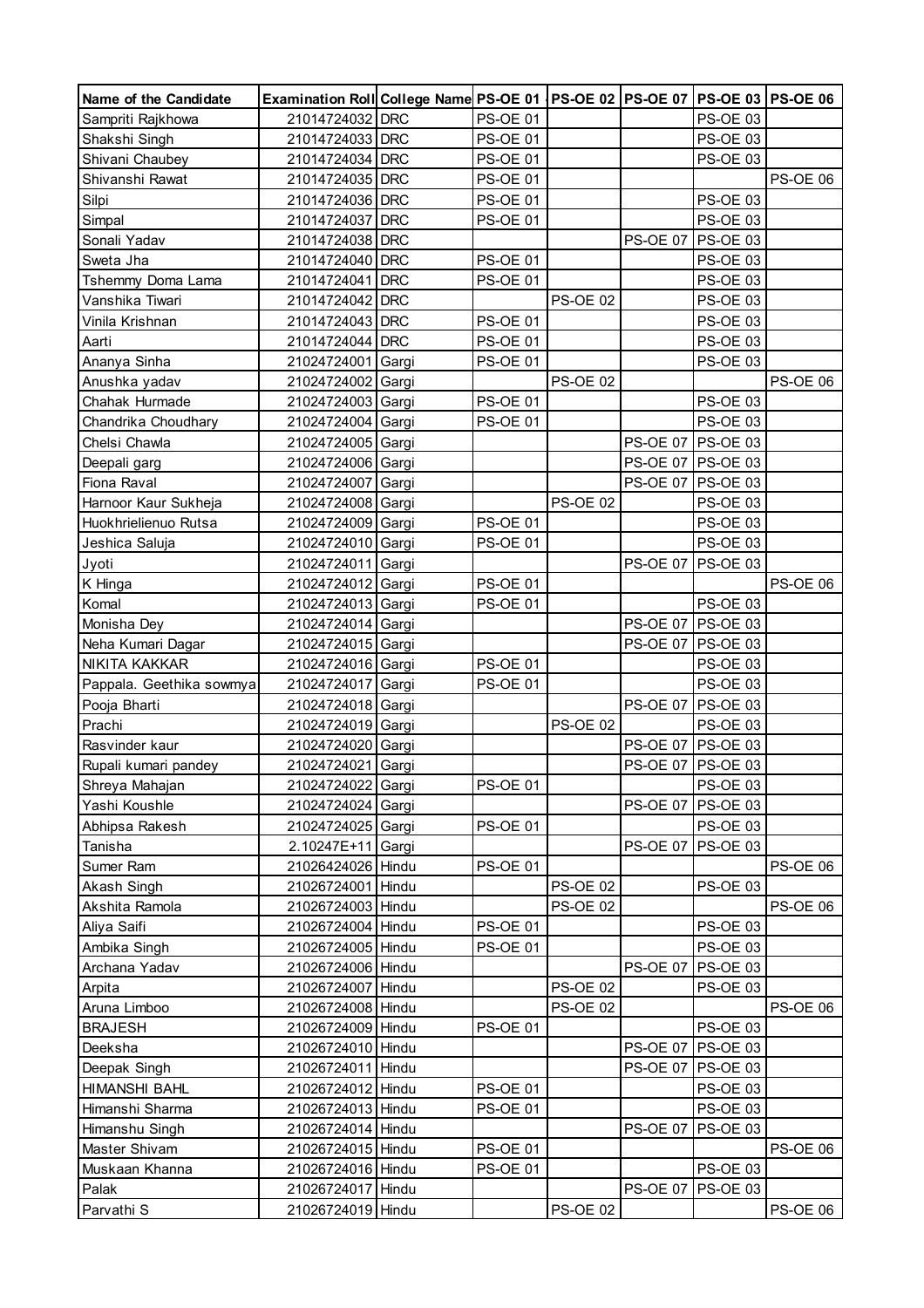| Name of the Candidate    | Examination Roll College Name PS-OE 01   PS-OE 02   PS-OE 07   PS-OE 03   PS-OE 06 |       |                 |                 |                 |                      |                 |
|--------------------------|------------------------------------------------------------------------------------|-------|-----------------|-----------------|-----------------|----------------------|-----------------|
| Sampriti Rajkhowa        | 21014724032 DRC                                                                    |       | <b>PS-OE 01</b> |                 |                 | PS-OE 03             |                 |
| Shakshi Singh            | 21014724033 DRC                                                                    |       | <b>PS-OE 01</b> |                 |                 | PS-OE 03             |                 |
| Shivani Chaubey          | 21014724034 DRC                                                                    |       | <b>PS-OE 01</b> |                 |                 | <b>PS-OE 03</b>      |                 |
| Shivanshi Rawat          | 21014724035 DRC                                                                    |       | <b>PS-OE 01</b> |                 |                 |                      | <b>PS-OE 06</b> |
| Silpi                    | 21014724036 DRC                                                                    |       | <b>PS-OE 01</b> |                 |                 | PS-OE 03             |                 |
| Simpal                   | 21014724037 DRC                                                                    |       | <b>PS-OE 01</b> |                 |                 | PS-OE 03             |                 |
| Sonali Yadav             | 21014724038 DRC                                                                    |       |                 |                 | <b>PS-OE 07</b> | <b>PS-OE 03</b>      |                 |
| Sweta Jha                | 21014724040 DRC                                                                    |       | <b>PS-OE 01</b> |                 |                 | <b>PS-OE 03</b>      |                 |
| Tshemmy Doma Lama        | 21014724041 DRC                                                                    |       | <b>PS-OE 01</b> |                 |                 | <b>PS-OE 03</b>      |                 |
| Vanshika Tiwari          | 21014724042 DRC                                                                    |       |                 | <b>PS-OE 02</b> |                 | <b>PS-OE 03</b>      |                 |
| Vinila Krishnan          | 21014724043 DRC                                                                    |       | <b>PS-OE 01</b> |                 |                 | <b>PS-OE 03</b>      |                 |
| Aarti                    | 21014724044 DRC                                                                    |       | <b>PS-OE 01</b> |                 |                 | <b>PS-OE 03</b>      |                 |
| Ananya Sinha             | 21024724001                                                                        | Gargi | <b>PS-OE 01</b> |                 |                 | <b>PS-OE 03</b>      |                 |
| Anushka yadav            | 21024724002 Gargi                                                                  |       |                 | <b>PS-OE 02</b> |                 |                      | <b>PS-OE 06</b> |
| Chahak Hurmade           | 21024724003 Gargi                                                                  |       | <b>PS-OE 01</b> |                 |                 | PS-OE 03             |                 |
| Chandrika Choudhary      | 21024724004 Gargi                                                                  |       | <b>PS-OE 01</b> |                 |                 | PS-OE 03             |                 |
| Chelsi Chawla            | 21024724005 Gargi                                                                  |       |                 |                 |                 | PS-OE 07 PS-OE 03    |                 |
| Deepali garg             | 21024724006 Gargi                                                                  |       |                 |                 |                 | PS-OE 07 PS-OE 03    |                 |
| Fiona Raval              | 21024724007                                                                        | Gargi |                 |                 |                 | PS-OE 07 PS-OE 03    |                 |
| Harnoor Kaur Sukheja     | 21024724008 Gargi                                                                  |       |                 | <b>PS-OE 02</b> |                 | <b>PS-OE 03</b>      |                 |
| Huokhrielienuo Rutsa     | 21024724009 Gargi                                                                  |       | <b>PS-OE 01</b> |                 |                 | <b>PS-OE 03</b>      |                 |
| Jeshica Saluja           | 21024724010 Gargi                                                                  |       | <b>PS-OE 01</b> |                 |                 | PS-OE 03             |                 |
| Jyoti                    | 21024724011                                                                        | Gargi |                 |                 | <b>PS-OE 07</b> | <b>PS-OE 03</b>      |                 |
|                          | 21024724012                                                                        | Gargi | <b>PS-OE 01</b> |                 |                 |                      | PS-OE 06        |
| K Hinga<br>Komal         | 21024724013 Gargi                                                                  |       | <b>PS-OE 01</b> |                 |                 | PS-OE 03             |                 |
| Monisha Dey              | 21024724014                                                                        | Gargi |                 |                 |                 | PS-OE 07 PS-OE 03    |                 |
| Neha Kumari Dagar        | 21024724015 Gargi                                                                  |       |                 |                 | <b>PS-OE 07</b> | <b>PS-OE 03</b>      |                 |
| NIKITA KAKKAR            | 21024724016 Gargi                                                                  |       | <b>PS-OE 01</b> |                 |                 | <b>PS-OE 03</b>      |                 |
| Pappala. Geethika sowmya | 21024724017                                                                        | Gargi | <b>PS-OE 01</b> |                 |                 | PS-OE 03             |                 |
| Pooja Bharti             | 21024724018                                                                        | Gargi |                 |                 | <b>PS-OE 07</b> | <b>PS-OE 03</b>      |                 |
| Prachi                   | 21024724019 Gargi                                                                  |       |                 | <b>PS-OE 02</b> |                 | PS-OE 03             |                 |
| Rasvinder kaur           | 21024724020 Gargi                                                                  |       |                 |                 |                 | PS-OE 07 PS-OE 03    |                 |
|                          |                                                                                    |       |                 |                 |                 | PS-OE 07 PS-OE 03    |                 |
| Rupali kumari pandey     | 21024724021                                                                        | Gargi |                 |                 |                 |                      |                 |
| Shreya Mahajan           | 21024724022 Gargi                                                                  |       | PS-OE 01        |                 |                 | PS-OE 03<br>PS-OE 03 |                 |
| Yashi Koushle            | 21024724024                                                                        | Gargi |                 |                 | <b>PS-OE 07</b> |                      |                 |
| Abhipsa Rakesh           | 21024724025                                                                        | Gargi | <b>PS-OE 01</b> |                 |                 | PS-OE 03             |                 |
| Tanisha                  | 2.10247E+11                                                                        | Gargi |                 |                 |                 | PS-OE 07   PS-OE 03  |                 |
| Sumer Ram                | 21026424026 Hindu                                                                  |       | <b>PS-OE 01</b> |                 |                 |                      | PS-OE 06        |
| Akash Singh              | 21026724001 Hindu                                                                  |       |                 | <b>PS-OE 02</b> |                 | <b>PS-OE 03</b>      |                 |
| Akshita Ramola           | 21026724003 Hindu                                                                  |       |                 | <b>PS-OE 02</b> |                 |                      | <b>PS-OE 06</b> |
| Aliya Saifi              | 21026724004 Hindu                                                                  |       | PS-OE 01        |                 |                 | <b>PS-OE 03</b>      |                 |
| Ambika Singh             | 21026724005 Hindu                                                                  |       | <b>PS-OE 01</b> |                 |                 | PS-OE 03             |                 |
| Archana Yadav            | 21026724006 Hindu                                                                  |       |                 |                 | <b>PS-OE 07</b> | <b>PS-OE 03</b>      |                 |
| Arpita                   | 21026724007 Hindu                                                                  |       |                 | <b>PS-OE 02</b> |                 | <b>PS-OE 03</b>      |                 |
| Aruna Limboo             | 21026724008 Hindu                                                                  |       |                 | <b>PS-OE 02</b> |                 |                      | <b>PS-OE 06</b> |
| <b>BRAJESH</b>           | 21026724009 Hindu                                                                  |       | <b>PS-OE 01</b> |                 |                 | <b>PS-OE 03</b>      |                 |
| Deeksha                  | 21026724010 Hindu                                                                  |       |                 |                 | <b>PS-OE 07</b> | <b>PS-OE 03</b>      |                 |
| Deepak Singh             | 21026724011                                                                        | Hindu |                 |                 |                 | PS-OE 07 PS-OE 03    |                 |
| <b>HIMANSHI BAHL</b>     | 21026724012 Hindu                                                                  |       | <b>PS-OE 01</b> |                 |                 | <b>PS-OE 03</b>      |                 |
| Himanshi Sharma          | 21026724013 Hindu                                                                  |       | <b>PS-OE 01</b> |                 |                 | PS-OE 03             |                 |
| Himanshu Singh           | 21026724014 Hindu                                                                  |       |                 |                 | <b>PS-OE 07</b> | <b>PS-OE 03</b>      |                 |
| Master Shivam            | 21026724015 Hindu                                                                  |       | <b>PS-OE 01</b> |                 |                 |                      | PS-OE 06        |
| Muskaan Khanna           | 21026724016 Hindu                                                                  |       | <b>PS-OE 01</b> |                 |                 | PS-OE 03             |                 |
| Palak                    | 21026724017                                                                        | Hindu |                 |                 | <b>PS-OE 07</b> | <b>PS-OE 03</b>      |                 |
| Parvathi S               | 21026724019 Hindu                                                                  |       |                 | <b>PS-OE 02</b> |                 |                      | <b>PS-OE 06</b> |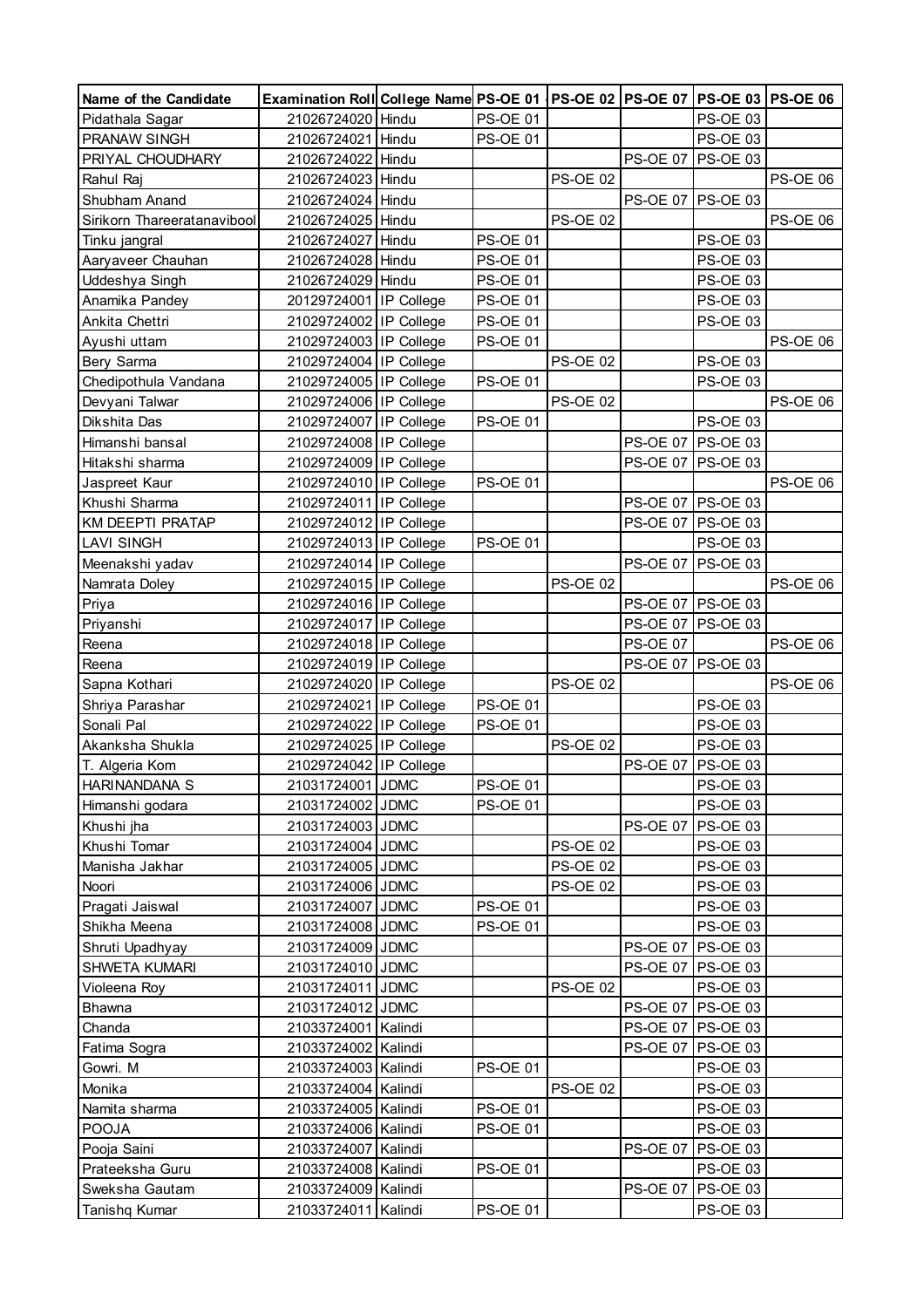| Name of the Candidate           | Examination Roll College Name PS-OE 01   PS-OE 02   PS-OE 07   PS-OE 03   PS-OE 06 |                 |                 |                 |                     |                 |
|---------------------------------|------------------------------------------------------------------------------------|-----------------|-----------------|-----------------|---------------------|-----------------|
| Pidathala Sagar                 | 21026724020 Hindu                                                                  | PS-OE 01        |                 |                 | PS-OE 03            |                 |
| PRANAW SINGH                    | 21026724021 Hindu                                                                  | <b>PS-OE 01</b> |                 |                 | PS-OE 03            |                 |
| PRIYAL CHOUDHARY                | 21026724022 Hindu                                                                  |                 |                 | <b>PS-OE 07</b> | <b>PS-OE 03</b>     |                 |
| Rahul Raj                       | 21026724023 Hindu                                                                  |                 | <b>PS-OE 02</b> |                 |                     | <b>PS-OE 06</b> |
| Shubham Anand                   | 21026724024 Hindu                                                                  |                 |                 |                 | PS-OE 07 PS-OE 03   |                 |
| Sirikorn Thareeratanavibool     | 21026724025 Hindu                                                                  |                 | <b>PS-OE 02</b> |                 |                     | <b>PS-OE 06</b> |
| Tinku jangral                   | 21026724027 Hindu                                                                  | <b>PS-OE 01</b> |                 |                 | PS-OE 03            |                 |
| Aaryaveer Chauhan               | 21026724028 Hindu                                                                  | <b>PS-OE 01</b> |                 |                 | <b>PS-OE 03</b>     |                 |
| Uddeshya Singh                  | 21026724029 Hindu                                                                  | <b>PS-OE 01</b> |                 |                 | <b>PS-OE 03</b>     |                 |
| Anamika Pandey                  | 20129724001 IP College                                                             | <b>PS-OE 01</b> |                 |                 | <b>PS-OE 03</b>     |                 |
| Ankita Chettri                  | 21029724002 IP College                                                             | <b>PS-OE 01</b> |                 |                 | <b>PS-OE 03</b>     |                 |
| Ayushi uttam                    | 21029724003 IP College                                                             | <b>PS-OE 01</b> |                 |                 |                     | <b>PS-OE 06</b> |
| Bery Sarma                      | 21029724004 IP College                                                             |                 | <b>PS-OE 02</b> |                 | <b>PS-OE 03</b>     |                 |
| Chedipothula Vandana            | 21029724005 IP College                                                             | <b>PS-OE 01</b> |                 |                 | PS-OE 03            |                 |
| Devyani Talwar                  | 21029724006 IP College                                                             |                 | <b>PS-OE 02</b> |                 |                     | PS-OE 06        |
| Dikshita Das                    | 21029724007 IP College                                                             | <b>PS-OE 01</b> |                 |                 | <b>PS-OE 03</b>     |                 |
| Himanshi bansal                 | 21029724008 IP College                                                             |                 |                 |                 | PS-OE 07 PS-OE 03   |                 |
| Hitakshi sharma                 | 21029724009 IP College                                                             |                 |                 |                 | PS-OE 07 PS-OE 03   |                 |
| Jaspreet Kaur                   | 21029724010 IP College                                                             | <b>PS-OE 01</b> |                 |                 |                     | <b>PS-OE 06</b> |
| Khushi Sharma                   | 21029724011 IP College                                                             |                 |                 |                 | PS-OE 07 PS-OE 03   |                 |
| KM DEEPTI PRATAP                | 21029724012 IP College                                                             |                 |                 |                 | PS-OE 07 PS-OE 03   |                 |
| <b>LAVI SINGH</b>               | 21029724013 IP College                                                             | <b>PS-OE 01</b> |                 |                 | PS-OE 03            |                 |
| Meenakshi yadav                 | 21029724014 IP College                                                             |                 |                 |                 | PS-OE 07   PS-OE 03 |                 |
| Namrata Doley                   | 21029724015 IP College                                                             |                 | <b>PS-OE 02</b> |                 |                     | <b>PS-OE 06</b> |
| Priya                           | 21029724016 IP College                                                             |                 |                 |                 | PS-OE 07 PS-OE 03   |                 |
| Priyanshi                       | 21029724017 IP College                                                             |                 |                 |                 | PS-OE 07 PS-OE 03   |                 |
| Reena                           | 21029724018 IP College                                                             |                 |                 | <b>PS-OE 07</b> |                     | PS-OE 06        |
| Reena                           | 21029724019 IP College                                                             |                 |                 |                 | PS-OE 07 PS-OE 03   |                 |
| Sapna Kothari                   | 21029724020 IP College                                                             |                 | <b>PS-OE 02</b> |                 |                     | PS-OE 06        |
| Shriya Parashar                 | 21029724021 IP College                                                             | <b>PS-OE 01</b> |                 |                 | <b>PS-OE 03</b>     |                 |
| Sonali Pal                      | 21029724022 IP College                                                             | <b>PS-OE 01</b> |                 |                 | <b>PS-OE 03</b>     |                 |
| Akanksha Shukla                 | 21029724025 IP College                                                             |                 | <b>PS-OE 02</b> |                 | <b>PS-OE 03</b>     |                 |
| T. Algeria Kom                  | 21029724042 IP College                                                             |                 |                 | <b>PS-OE 07</b> | <b>PS-OE 03</b>     |                 |
| HARINANDANA S                   | 21031724001 JDMC                                                                   | <b>PS-OE 01</b> |                 |                 | PS-OE 03            |                 |
| Himanshi godara                 | 21031724002 JDMC                                                                   | <b>PS-OE 01</b> |                 |                 | PS-OE 03            |                 |
| Khushi jha                      | 21031724003 JDMC                                                                   |                 |                 | <b>PS-OE 07</b> | <b>PS-OE 03</b>     |                 |
| Khushi Tomar                    | 21031724004 JDMC                                                                   |                 | <b>PS-OE 02</b> |                 | PS-OE 03            |                 |
| Manisha Jakhar                  | 21031724005 JDMC                                                                   |                 | <b>PS-OE 02</b> |                 | PS-OE 03            |                 |
| Noori                           | 21031724006 JDMC                                                                   |                 | <b>PS-OE 02</b> |                 | <b>PS-OE 03</b>     |                 |
|                                 | 21031724007 JDMC                                                                   | <b>PS-OE 01</b> |                 |                 | <b>PS-OE 03</b>     |                 |
| Pragati Jaiswal<br>Shikha Meena | 21031724008 JDMC                                                                   | <b>PS-OE 01</b> |                 |                 | PS-OE 03            |                 |
|                                 | 21031724009 JDMC                                                                   |                 |                 | <b>PS-OE 07</b> | <b>PS-OE 03</b>     |                 |
| Shruti Upadhyay                 | 21031724010 JDMC                                                                   |                 |                 |                 |                     |                 |
| SHWETA KUMARI                   | 21031724011 JDMC                                                                   |                 | <b>PS-OE 02</b> |                 | PS-OE 07   PS-OE 03 |                 |
| Violeena Roy                    |                                                                                    |                 |                 |                 | PS-OE 03            |                 |
| Bhawna                          | 21031724012 JDMC                                                                   |                 |                 |                 | PS-OE 07   PS-OE 03 |                 |
| Chanda                          | 21033724001 Kalindi                                                                |                 |                 |                 | PS-OE 07 PS-OE 03   |                 |
| Fatima Sogra                    | 21033724002 Kalindi                                                                |                 |                 |                 | PS-OE 07 PS-OE 03   |                 |
| Gowri. M                        | 21033724003 Kalindi                                                                | <b>PS-OE 01</b> |                 |                 | PS-OE 03            |                 |
| Monika                          | 21033724004 Kalindi                                                                |                 | <b>PS-OE 02</b> |                 | <b>PS-OE 03</b>     |                 |
| Namita sharma                   | 21033724005 Kalindi                                                                | <b>PS-OE 01</b> |                 |                 | PS-OE 03            |                 |
| POOJA                           | 21033724006 Kalindi                                                                | <b>PS-OE 01</b> |                 |                 | <b>PS-OE 03</b>     |                 |
| Pooja Saini                     | 21033724007 Kalindi                                                                |                 |                 | <b>PS-OE 07</b> | <b>PS-OE 03</b>     |                 |
| Prateeksha Guru                 | 21033724008 Kalindi                                                                | <b>PS-OE 01</b> |                 |                 | PS-OE 03            |                 |
| Sweksha Gautam                  | 21033724009 Kalindi                                                                |                 |                 | <b>PS-OE 07</b> | <b>PS-OE 03</b>     |                 |
| Tanishq Kumar                   | 21033724011 Kalindi                                                                | <b>PS-OE 01</b> |                 |                 | PS-OE 03            |                 |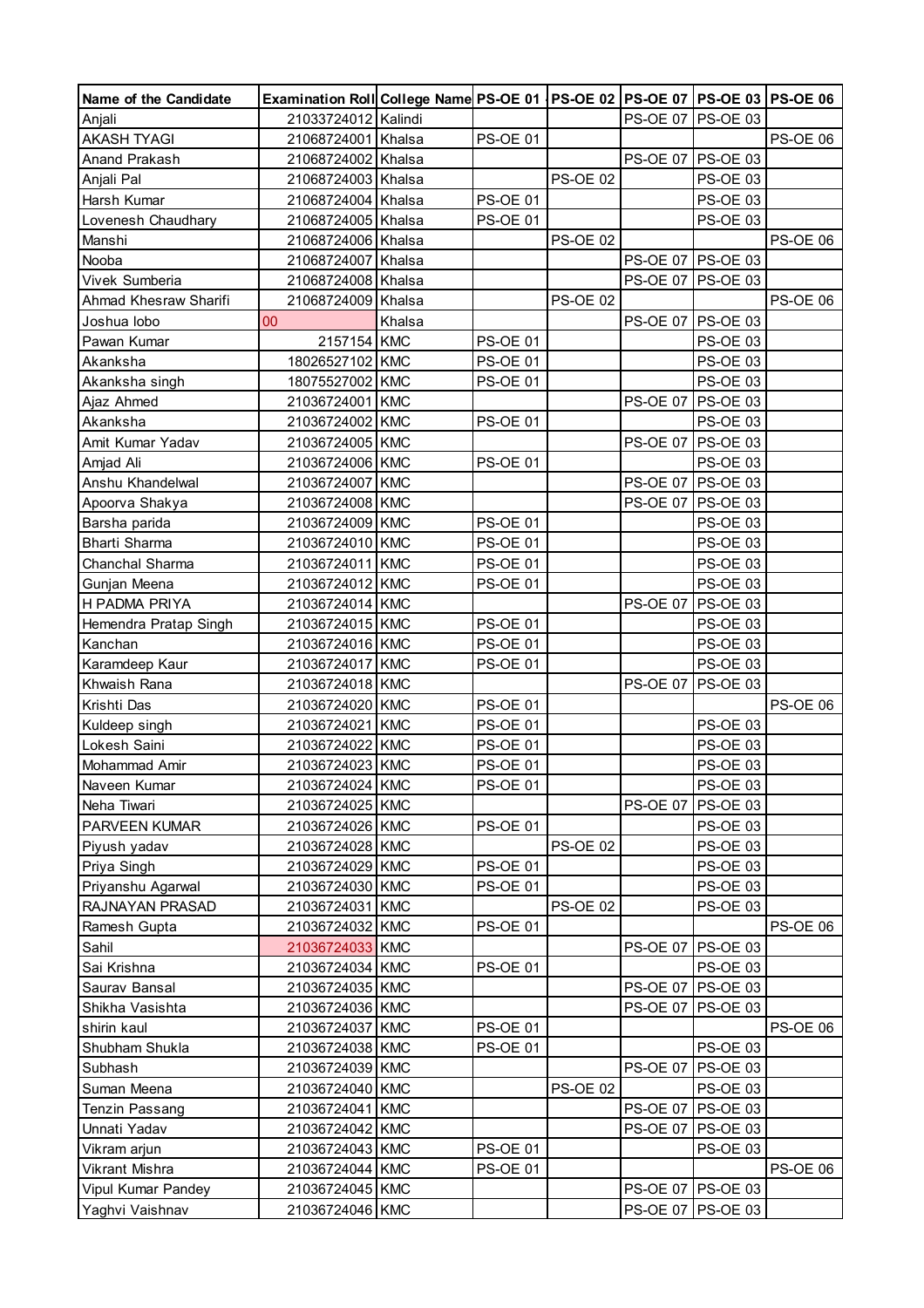| Name of the Candidate          | Examination Roll College Name PS-OE 01   PS-OE 02   PS-OE 07   PS-OE 03   PS-OE 06 |        |                 |                 |                 |                      |                 |
|--------------------------------|------------------------------------------------------------------------------------|--------|-----------------|-----------------|-----------------|----------------------|-----------------|
| Anjali                         | 21033724012 Kalindi                                                                |        |                 |                 |                 | PS-OE 07 PS-OE 03    |                 |
| <b>AKASH TYAGI</b>             | 21068724001 Khalsa                                                                 |        | <b>PS-OE 01</b> |                 |                 |                      | <b>PS-OE 06</b> |
| Anand Prakash                  | 21068724002 Khalsa                                                                 |        |                 |                 | <b>PS-OE 07</b> | <b>PS-OE 03</b>      |                 |
| Anjali Pal                     | 21068724003 Khalsa                                                                 |        |                 | <b>PS-OE 02</b> |                 | PS-OE 03             |                 |
| Harsh Kumar                    | 21068724004 Khalsa                                                                 |        | <b>PS-OE 01</b> |                 |                 | PS-OE 03             |                 |
| Lovenesh Chaudhary             | 21068724005 Khalsa                                                                 |        | <b>PS-OE 01</b> |                 |                 | <b>PS-OE 03</b>      |                 |
| Manshi                         | 21068724006 Khalsa                                                                 |        |                 | <b>PS-OE 02</b> |                 |                      | <b>PS-OE 06</b> |
| Nooba                          | 21068724007                                                                        | Khalsa |                 |                 |                 | PS-OE 07 PS-OE 03    |                 |
| Vivek Sumberia                 | 21068724008 Khalsa                                                                 |        |                 |                 |                 | PS-OE 07 PS-OE 03    |                 |
| Ahmad Khesraw Sharifi          | 21068724009 Khalsa                                                                 |        |                 | <b>PS-OE 02</b> |                 |                      | <b>PS-OE 06</b> |
| Joshua lobo                    | 00                                                                                 | Khalsa |                 |                 |                 | PS-OE 07 PS-OE 03    |                 |
| Pawan Kumar                    | 2157154 KMC                                                                        |        | <b>PS-OE 01</b> |                 |                 | PS-OE 03             |                 |
| Akanksha                       | 18026527102 KMC                                                                    |        | <b>PS-OE 01</b> |                 |                 | PS-OE 03             |                 |
| Akanksha singh                 | 18075527002 KMC                                                                    |        | <b>PS-OE 01</b> |                 |                 | PS-OE 03             |                 |
| Ajaz Ahmed                     | 21036724001 KMC                                                                    |        |                 |                 | <b>PS-OE 07</b> | <b>PS-OE 03</b>      |                 |
| Akanksha                       | 21036724002 KMC                                                                    |        | <b>PS-OE 01</b> |                 |                 | <b>PS-OE 03</b>      |                 |
| Amit Kumar Yadav               | 21036724005 KMC                                                                    |        |                 |                 |                 | PS-OE 07 PS-OE 03    |                 |
| Amjad Ali                      | 21036724006 KMC                                                                    |        | <b>PS-OE 01</b> |                 |                 | <b>PS-OE 03</b>      |                 |
| Anshu Khandelwal               | 21036724007 KMC                                                                    |        |                 |                 |                 | PS-OE 07 PS-OE 03    |                 |
|                                | 21036724008 KMC                                                                    |        |                 |                 |                 | PS-OE 07 PS-OE 03    |                 |
| Apoorva Shakya                 | 21036724009 KMC                                                                    |        | <b>PS-OE 01</b> |                 |                 |                      |                 |
| Barsha parida<br>Bharti Sharma | 21036724010 KMC                                                                    |        | <b>PS-OE 01</b> |                 |                 | PS-OE 03<br>PS-OE 03 |                 |
|                                |                                                                                    |        |                 |                 |                 |                      |                 |
| Chanchal Sharma                | 21036724011 KMC                                                                    |        | <b>PS-OE 01</b> |                 |                 | PS-OE 03             |                 |
| Gunjan Meena                   | 21036724012 KMC                                                                    |        | <b>PS-OE 01</b> |                 |                 | <b>PS-OE 03</b>      |                 |
| H PADMA PRIYA                  | 21036724014 KMC                                                                    |        |                 |                 | <b>PS-OE 07</b> | <b>PS-OE 03</b>      |                 |
| Hemendra Pratap Singh          | 21036724015 KMC                                                                    |        | <b>PS-OE 01</b> |                 |                 | <b>PS-OE 03</b>      |                 |
| Kanchan                        | 21036724016 KMC                                                                    |        | <b>PS-OE 01</b> |                 |                 | PS-OE 03             |                 |
| Karamdeep Kaur                 | 21036724017 KMC                                                                    |        | <b>PS-OE 01</b> |                 |                 | <b>PS-OE 03</b>      |                 |
| Khwaish Rana                   | 21036724018 KMC                                                                    |        |                 |                 | <b>PS-OE 07</b> | <b>PS-OE 03</b>      |                 |
| Krishti Das                    | 21036724020 KMC                                                                    |        | <b>PS-OE 01</b> |                 |                 |                      | <b>PS-OE 06</b> |
| Kuldeep singh                  | 21036724021 KMC                                                                    |        | <b>PS-OE 01</b> |                 |                 | PS-OE 03             |                 |
| Lokesh Saini                   | 21036724022 KMC                                                                    |        | <b>PS-OE 01</b> |                 |                 | PS-OE 03             |                 |
| Mohammad Amir                  | 21036724023 KMC                                                                    |        | <b>PS-OE 01</b> |                 |                 | PS-OE 03             |                 |
| Naveen Kumar                   | 21036724024 KMC                                                                    |        | <b>PS-OE 01</b> |                 |                 | PS-OE 03             |                 |
| Neha Tiwari                    | 21036724025 KMC                                                                    |        |                 |                 | <b>PS-OE 07</b> | <b>PS-OE 03</b>      |                 |
| <b>PARVEEN KUMAR</b>           | 21036724026 KMC                                                                    |        | <b>PS-OE 01</b> |                 |                 | PS-OE 03             |                 |
| Piyush yadav                   | 21036724028 KMC                                                                    |        |                 | <b>PS-OE 02</b> |                 | PS-OE 03             |                 |
| Priya Singh                    | 21036724029 KMC                                                                    |        | <b>PS-OE 01</b> |                 |                 | PS-OE 03             |                 |
| Priyanshu Agarwal              | 21036724030 KMC                                                                    |        | <b>PS-OE 01</b> |                 |                 | PS-OE 03             |                 |
| RAJNAYAN PRASAD                | 21036724031 KMC                                                                    |        |                 | <b>PS-OE 02</b> |                 | PS-OE 03             |                 |
| Ramesh Gupta                   | 21036724032 KMC                                                                    |        | <b>PS-OE 01</b> |                 |                 |                      | <b>PS-OE 06</b> |
| Sahil                          | 21036724033 KMC                                                                    |        |                 |                 | <b>PS-OE 07</b> | PS-OE 03             |                 |
| Sai Krishna                    | 21036724034 KMC                                                                    |        | <b>PS-OE 01</b> |                 |                 | <b>PS-OE 03</b>      |                 |
| Saurav Bansal                  | 21036724035 KMC                                                                    |        |                 |                 | <b>PS-OE 07</b> | PS-OE 03             |                 |
| Shikha Vasishta                | 21036724036 KMC                                                                    |        |                 |                 | <b>PS-OE 07</b> | <b>PS-OE 03</b>      |                 |
| shirin kaul                    | 21036724037 KMC                                                                    |        | <b>PS-OE 01</b> |                 |                 |                      | <b>PS-OE 06</b> |
| Shubham Shukla                 | 21036724038 KMC                                                                    |        | <b>PS-OE 01</b> |                 |                 | PS-OE 03             |                 |
| Subhash                        | 21036724039 KMC                                                                    |        |                 |                 | <b>PS-OE 07</b> | <b>PS-OE 03</b>      |                 |
| Suman Meena                    | 21036724040 KMC                                                                    |        |                 | <b>PS-OE 02</b> |                 | <b>PS-OE 03</b>      |                 |
| <b>Tenzin Passang</b>          | 21036724041 KMC                                                                    |        |                 |                 |                 | PS-OE 07 PS-OE 03    |                 |
| Unnati Yadav                   | 21036724042 KMC                                                                    |        |                 |                 |                 | PS-OE 07   PS-OE 03  |                 |
| Vikram arjun                   | 21036724043 KMC                                                                    |        | <b>PS-OE 01</b> |                 |                 | PS-OE 03             |                 |
| Vikrant Mishra                 | 21036724044 KMC                                                                    |        | <b>PS-OE 01</b> |                 |                 |                      | PS-OE 06        |
| Vipul Kumar Pandey             | 21036724045 KMC                                                                    |        |                 |                 |                 | PS-OE 07 PS-OE 03    |                 |
| Yaghvi Vaishnav                | 21036724046 KMC                                                                    |        |                 |                 |                 | PS-OE 07 PS-OE 03    |                 |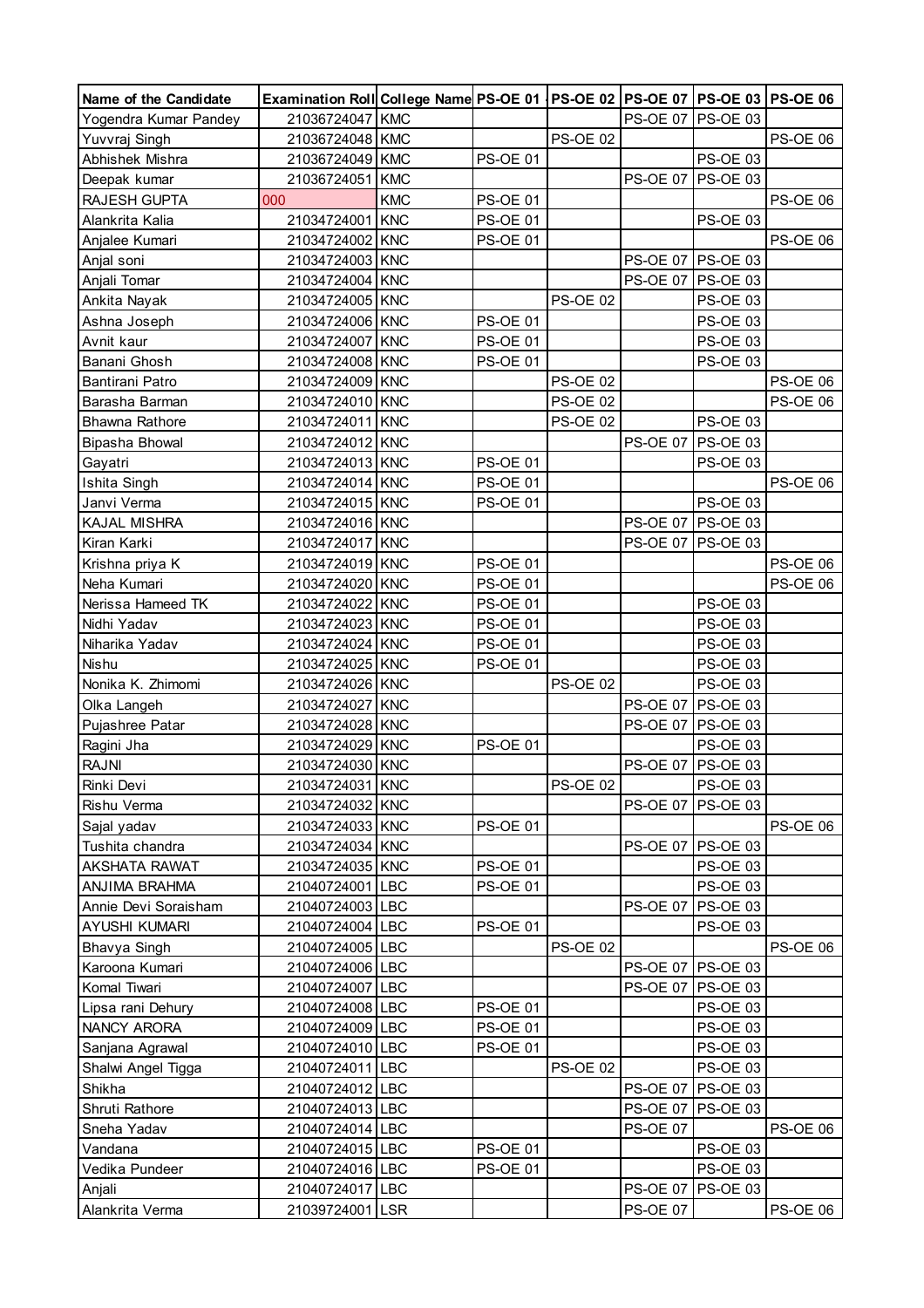| Name of the Candidate | Examination Roll College Name PS-OE 01   PS-OE 02   PS-OE 07   PS-OE 03   PS-OE 06 |            |                 |                 |                 |                          |                 |
|-----------------------|------------------------------------------------------------------------------------|------------|-----------------|-----------------|-----------------|--------------------------|-----------------|
| Yogendra Kumar Pandey | 21036724047 KMC                                                                    |            |                 |                 |                 | PS-OE 07 PS-OE 03        |                 |
| Yuvvraj Singh         | 21036724048 KMC                                                                    |            |                 | <b>PS-OE 02</b> |                 |                          | <b>PS-OE 06</b> |
| Abhishek Mishra       | 21036724049 KMC                                                                    |            | <b>PS-OE 01</b> |                 |                 | PS-OE 03                 |                 |
| Deepak kumar          | 21036724051 KMC                                                                    |            |                 |                 | <b>PS-OE 07</b> | <b>PS-OE 03</b>          |                 |
| RAJESH GUPTA          | 000                                                                                | <b>KMC</b> | <b>PS-OE 01</b> |                 |                 |                          | <b>PS-OE 06</b> |
| Alankrita Kalia       | 21034724001 KNC                                                                    |            | <b>PS-OE 01</b> |                 |                 | PS-OE 03                 |                 |
| Anjalee Kumari        | 21034724002 KNC                                                                    |            | <b>PS-OE 01</b> |                 |                 |                          | <b>PS-OE 06</b> |
| Anjal soni            | 21034724003 KNC                                                                    |            |                 |                 |                 | PS-OE 07 PS-OE 03        |                 |
| Anjali Tomar          | 21034724004 KNC                                                                    |            |                 |                 |                 | PS-OE 07 PS-OE 03        |                 |
| Ankita Nayak          | 21034724005 KNC                                                                    |            |                 | <b>PS-OE 02</b> |                 | PS-OE 03                 |                 |
| Ashna Joseph          | 21034724006 KNC                                                                    |            | <b>PS-OE 01</b> |                 |                 | <b>PS-OE 03</b>          |                 |
| Avnit kaur            | 21034724007 KNC                                                                    |            | <b>PS-OE 01</b> |                 |                 | <b>PS-OE 03</b>          |                 |
| Banani Ghosh          | 21034724008 KNC                                                                    |            | <b>PS-OE 01</b> |                 |                 | PS-OE 03                 |                 |
| Bantirani Patro       | 21034724009 KNC                                                                    |            |                 | <b>PS-OE 02</b> |                 |                          | PS-OE 06        |
| Barasha Barman        | 21034724010 KNC                                                                    |            |                 | <b>PS-OE 02</b> |                 |                          | PS-OE 06        |
| <b>Bhawna Rathore</b> | 21034724011 KNC                                                                    |            |                 | <b>PS-OE 02</b> |                 | <b>PS-OE 03</b>          |                 |
| Bipasha Bhowal        | 21034724012 KNC                                                                    |            |                 |                 | <b>PS-OE 07</b> | <b>PS-OE 03</b>          |                 |
| Gayatri               | 21034724013 KNC                                                                    |            | <b>PS-OE 01</b> |                 |                 | PS-OE 03                 |                 |
| Ishita Singh          | 21034724014 KNC                                                                    |            | <b>PS-OE 01</b> |                 |                 |                          | <b>PS-OE 06</b> |
| Janvi Verma           | 21034724015 KNC                                                                    |            | <b>PS-OE 01</b> |                 |                 | PS-OE 03                 |                 |
| KAJAL MISHRA          | 21034724016 KNC                                                                    |            |                 |                 |                 | PS-OE 07 PS-OE 03        |                 |
| Kiran Karki           | 21034724017 KNC                                                                    |            |                 |                 |                 | PS-OE 07   PS-OE 03      |                 |
| Krishna priya K       | 21034724019 KNC                                                                    |            | <b>PS-OE 01</b> |                 |                 |                          | <b>PS-OE 06</b> |
| Neha Kumari           | 21034724020 KNC                                                                    |            | <b>PS-OE 01</b> |                 |                 |                          | <b>PS-OE 06</b> |
| Nerissa Hameed TK     | 21034724022 KNC                                                                    |            | <b>PS-OE 01</b> |                 |                 | PS-OE 03                 |                 |
| Nidhi Yadav           | 21034724023 KNC                                                                    |            | <b>PS-OE 01</b> |                 |                 | <b>PS-OE 03</b>          |                 |
| Niharika Yadav        | 21034724024 KNC                                                                    |            | <b>PS-OE 01</b> |                 |                 | <b>PS-OE 03</b>          |                 |
| Nishu                 | 21034724025 KNC                                                                    |            | <b>PS-OE 01</b> |                 |                 | PS-OE 03                 |                 |
| Nonika K. Zhimomi     | 21034724026 KNC                                                                    |            |                 | <b>PS-OE 02</b> |                 | PS-OE 03                 |                 |
| Olka Langeh           | 21034724027 KNC                                                                    |            |                 |                 | <b>PS-OE 07</b> | <b>PS-OE 03</b>          |                 |
| Pujashree Patar       | 21034724028 KNC                                                                    |            |                 |                 |                 | PS-OE 07 PS-OE 03        |                 |
| Ragini Jha            | 21034724029 KNC                                                                    |            | <b>PS-OE 01</b> |                 |                 | <b>PS-OE 03</b>          |                 |
| <b>RAJNI</b>          | 21034724030 KNC                                                                    |            |                 |                 |                 | PS-OE 07 PS-OE 03        |                 |
| Rinki Devi            | 21034724031 KNC                                                                    |            |                 | <b>PS-OE 02</b> |                 | <b>PS-OE 03</b>          |                 |
| Rishu Verma           | 21034724032 KNC                                                                    |            |                 |                 |                 | <b>PS-OE 07 PS-OE 03</b> |                 |
| Sajal yadav           | 21034724033 KNC                                                                    |            | <b>PS-OE 01</b> |                 |                 |                          | <b>PS-OE 06</b> |
| Tushita chandra       | 21034724034 KNC                                                                    |            |                 |                 |                 | PS-OE 07 PS-OE 03        |                 |
| <b>AKSHATA RAWAT</b>  | 21034724035 KNC                                                                    |            | <b>PS-OE 01</b> |                 |                 | PS-OE 03                 |                 |
| ANJIMA BRAHMA         | 21040724001 LBC                                                                    |            | <b>PS-OE 01</b> |                 |                 | <b>PS-OE 03</b>          |                 |
| Annie Devi Soraisham  | 21040724003 LBC                                                                    |            |                 |                 | <b>PS-OE 07</b> | PS-OE 03                 |                 |
| AYUSHI KUMARI         | 21040724004 LBC                                                                    |            | <b>PS-OE 01</b> |                 |                 | <b>PS-OE 03</b>          |                 |
| Bhavya Singh          | 21040724005 LBC                                                                    |            |                 | <b>PS-OE 02</b> |                 |                          | <b>PS-OE 06</b> |
| Karoona Kumari        | 21040724006 LBC                                                                    |            |                 |                 |                 | PS-OE 07 PS-OE 03        |                 |
| Komal Tiwari          | 21040724007 LBC                                                                    |            |                 |                 |                 | PS-OE 07   PS-OE 03      |                 |
| Lipsa rani Dehury     | 21040724008 LBC                                                                    |            | <b>PS-OE 01</b> |                 |                 | <b>PS-OE 03</b>          |                 |
| NANCY ARORA           | 21040724009 LBC                                                                    |            | <b>PS-OE 01</b> |                 |                 | PS-OE 03                 |                 |
|                       | 21040724010 LBC                                                                    |            | <b>PS-OE 01</b> |                 |                 | PS-OE 03                 |                 |
| Sanjana Agrawal       | 21040724011 LBC                                                                    |            |                 | <b>PS-OE 02</b> |                 | PS-OE 03                 |                 |
| Shalwi Angel Tigga    |                                                                                    |            |                 |                 |                 |                          |                 |
| Shikha                | 21040724012 LBC                                                                    |            |                 |                 |                 | PS-OE 07   PS-OE 03      |                 |
| Shruti Rathore        | 21040724013 LBC                                                                    |            |                 |                 |                 | PS-OE 07   PS-OE 03      |                 |
| Sneha Yadav           | 21040724014 LBC                                                                    |            |                 |                 | <b>PS-OE 07</b> |                          | <b>PS-OE 06</b> |
| Vandana               | 21040724015 LBC                                                                    |            | <b>PS-OE 01</b> |                 |                 | <b>PS-OE 03</b>          |                 |
| Vedika Pundeer        | 21040724016 LBC                                                                    |            | <b>PS-OE 01</b> |                 |                 | PS-OE 03                 |                 |
| Anjali                | 21040724017 LBC                                                                    |            |                 |                 | <b>PS-OE 07</b> | <b>PS-OE 03</b>          |                 |
| Alankrita Verma       | 21039724001 LSR                                                                    |            |                 |                 | <b>PS-OE 07</b> |                          | <b>PS-OE 06</b> |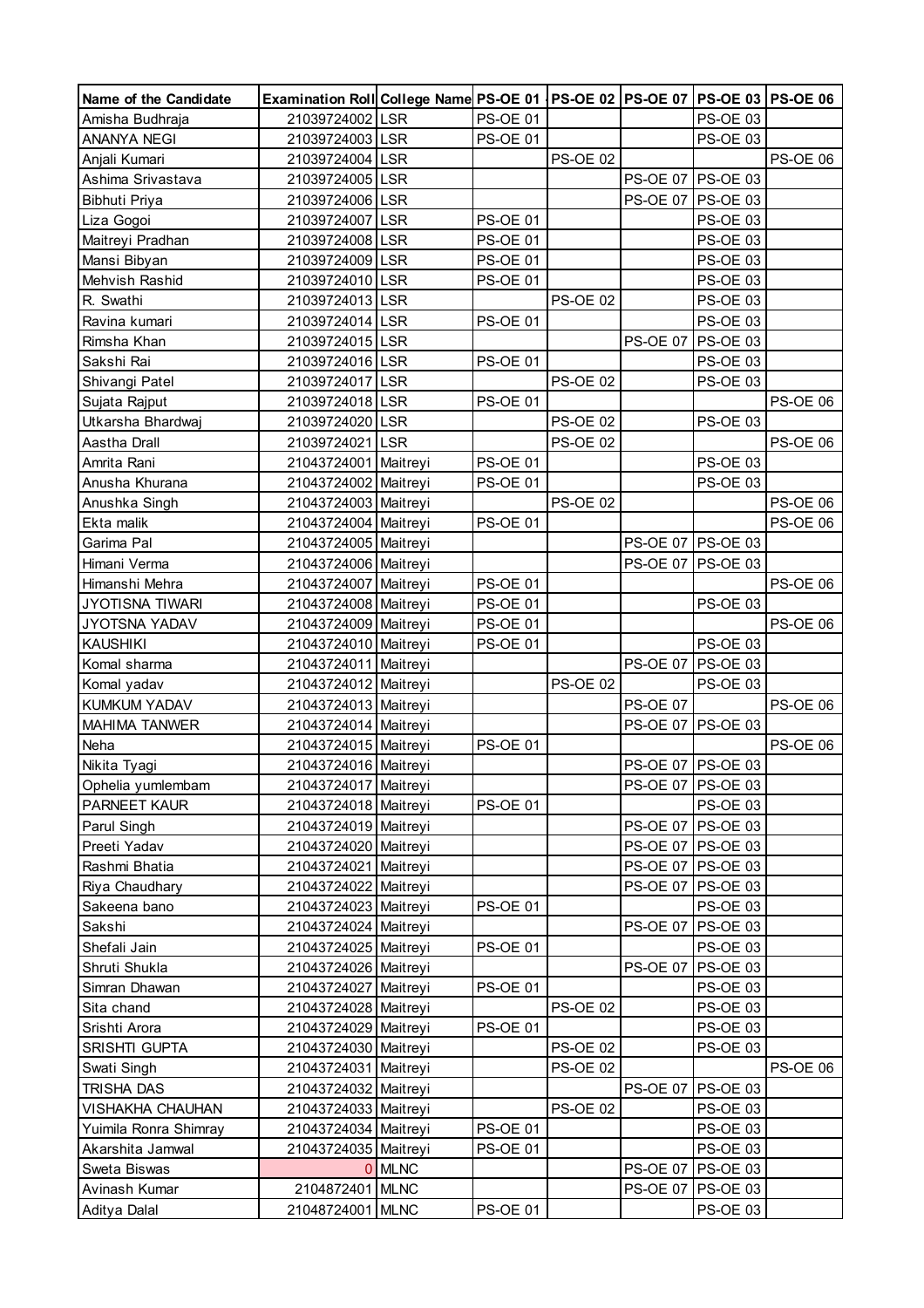| Name of the Candidate             | Examination Roll College Name PS-OE 01   PS-OE 02   PS-OE 07   PS-OE 03   PS-OE 06 |            |                 |                 |                   |                                    |                 |
|-----------------------------------|------------------------------------------------------------------------------------|------------|-----------------|-----------------|-------------------|------------------------------------|-----------------|
| Amisha Budhraja                   | 21039724002 LSR                                                                    |            | PS-OE 01        |                 |                   | PS-OE 03                           |                 |
| <b>ANANYA NEGI</b>                | 21039724003 LSR                                                                    |            | <b>PS-OE 01</b> |                 |                   | PS-OE 03                           |                 |
| Anjali Kumari                     | 21039724004 LSR                                                                    |            |                 | <b>PS-OE 02</b> |                   |                                    | PS-OE 06        |
| Ashima Srivastava                 | 21039724005 LSR                                                                    |            |                 |                 | PS-OE 07 PS-OE 03 |                                    |                 |
| Bibhuti Priya                     | 21039724006 LSR                                                                    |            |                 |                 |                   | PS-OE 07 PS-OE 03                  |                 |
| Liza Gogoi                        | 21039724007 LSR                                                                    |            | <b>PS-OE 01</b> |                 |                   | PS-OE 03                           |                 |
| Maitreyi Pradhan                  | 21039724008 LSR                                                                    |            | <b>PS-OE 01</b> |                 |                   | PS-OE 03                           |                 |
| Mansi Bibyan                      | 21039724009 LSR                                                                    |            | <b>PS-OE 01</b> |                 |                   | PS-OE 03                           |                 |
| Mehvish Rashid                    | 21039724010 LSR                                                                    |            | <b>PS-OE 01</b> |                 |                   | PS-OE 03                           |                 |
| R. Swathi                         | 21039724013 LSR                                                                    |            |                 | <b>PS-OE 02</b> |                   | PS-OE 03                           |                 |
| Ravina kumari                     | 21039724014 LSR                                                                    |            | <b>PS-OE 01</b> |                 |                   | PS-OE 03                           |                 |
| Rimsha Khan                       | 21039724015 LSR                                                                    |            |                 |                 | <b>PS-OE 07</b>   | <b>PS-OE 03</b>                    |                 |
| Sakshi Rai                        | 21039724016 LSR                                                                    |            | <b>PS-OE 01</b> |                 |                   | <b>PS-OE 03</b>                    |                 |
| Shivangi Patel                    | 21039724017                                                                        | <b>LSR</b> |                 | <b>PS-OE 02</b> |                   | PS-OE 03                           |                 |
| Sujata Rajput                     | 21039724018 LSR                                                                    |            | <b>PS-OE 01</b> |                 |                   |                                    | PS-OE 06        |
| Utkarsha Bhardwaj                 | 21039724020 LSR                                                                    |            |                 | <b>PS-OE 02</b> |                   | <b>PS-OE 03</b>                    |                 |
| Aastha Drall                      | 21039724021                                                                        | LSR        |                 | <b>PS-OE 02</b> |                   |                                    | PS-OE 06        |
| Amrita Rani                       | 21043724001                                                                        | Maitreyi   | <b>PS-OE 01</b> |                 |                   | PS-OE 03                           |                 |
| Anusha Khurana                    | 21043724002 Maitreyi                                                               |            | <b>PS-OE 01</b> |                 |                   | <b>PS-OE 03</b>                    |                 |
| Anushka Singh                     | 21043724003 Maitreyi                                                               |            |                 | <b>PS-OE 02</b> |                   |                                    | PS-OE 06        |
| Ekta malik                        | 21043724004 Maitreyi                                                               |            | <b>PS-OE 01</b> |                 |                   |                                    | <b>PS-OE 06</b> |
| Garima Pal                        | 21043724005 Maitreyi                                                               |            |                 |                 |                   | PS-OE 07 PS-OE 03                  |                 |
| Himani Verma                      | 21043724006 Maitreyi                                                               |            |                 |                 |                   | PS-OE 07   PS-OE 03                |                 |
| Himanshi Mehra                    | 21043724007 Maitreyi                                                               |            | <b>PS-OE 01</b> |                 |                   |                                    | PS-OE 06        |
| <b>JYOTISNA TIWARI</b>            | 21043724008 Maitreyi                                                               |            | <b>PS-OE 01</b> |                 |                   | <b>PS-OE 03</b>                    |                 |
| JYOTSNA YADAV                     | 21043724009 Maitreyi                                                               |            | <b>PS-OE 01</b> |                 |                   |                                    | <b>PS-OE 06</b> |
| <b>KAUSHIKI</b>                   | 21043724010 Maitreyi                                                               |            | <b>PS-OE 01</b> |                 |                   | <b>PS-OE 03</b>                    |                 |
| Komal sharma                      | 21043724011 Maitreyi                                                               |            |                 |                 |                   | PS-OE 07 PS-OE 03                  |                 |
| Komal yadav                       | 21043724012 Maitreyi                                                               |            |                 | <b>PS-OE 02</b> |                   | <b>PS-OE 03</b>                    |                 |
| KUMKUM YADAV                      | 21043724013 Maitreyi                                                               |            |                 |                 | <b>PS-OE 07</b>   |                                    | <b>PS-OE 06</b> |
| MAHIMA TANWER                     | 21043724014 Maitreyi                                                               |            |                 |                 |                   | PS-OE 07 PS-OE 03                  |                 |
| Neha                              | 21043724015 Maitreyi                                                               |            | <b>PS-OE 01</b> |                 |                   |                                    | <b>PS-OE 06</b> |
| Nikita Tyagi                      | 21043724016 Maitreyi                                                               |            |                 |                 |                   | PS-OE 07 PS-OE 03                  |                 |
|                                   | 21043724017   Maitreyi                                                             |            |                 |                 |                   | PS-OE 07   PS-OE 03                |                 |
| Ophelia yumlembam<br>PARNEET KAUR | 21043724018 Maitreyi                                                               |            | <b>PS-OE 01</b> |                 |                   | <b>PS-OE 03</b>                    |                 |
|                                   |                                                                                    |            |                 |                 |                   | PS-OE 07 PS-OE 03                  |                 |
| Parul Singh                       | 21043724019 Maitreyi<br>21043724020 Maitreyi                                       |            |                 |                 |                   | PS-OE 07 PS-OE 03                  |                 |
| Preeti Yadav<br>Rashmi Bhatia     |                                                                                    |            |                 |                 |                   |                                    |                 |
|                                   | 21043724021 Maitreyi<br>21043724022 Maitreyi                                       |            |                 |                 |                   | PS-OE 07   PS-OE 03                |                 |
| Riya Chaudhary                    |                                                                                    |            |                 |                 |                   | PS-OE 07   PS-OE 03                |                 |
| Sakeena bano                      | 21043724023 Maitreyi                                                               |            | <b>PS-OE 01</b> |                 | <b>PS-OE 07</b>   | <b>PS-OE 03</b><br><b>PS-OE 03</b> |                 |
| Sakshi                            | 21043724024 Maitreyi                                                               |            | <b>PS-OE 01</b> |                 |                   |                                    |                 |
| Shefali Jain                      | 21043724025 Maitreyi                                                               |            |                 |                 |                   | PS-OE 03                           |                 |
| Shruti Shukla                     | 21043724026 Maitreyi                                                               |            |                 |                 | <b>PS-OE 07</b>   | <b>PS-OE 03</b>                    |                 |
| Simran Dhawan                     | 21043724027 Maitreyi                                                               |            | <b>PS-OE 01</b> |                 |                   | <b>PS-OE 03</b>                    |                 |
| Sita chand                        | 21043724028 Maitreyi                                                               |            |                 | <b>PS-OE 02</b> |                   | <b>PS-OE 03</b>                    |                 |
| Srishti Arora                     | 21043724029 Maitreyi                                                               |            | <b>PS-OE 01</b> |                 |                   | <b>PS-OE 03</b>                    |                 |
| SRISHTI GUPTA                     | 21043724030 Maitreyi                                                               |            |                 | <b>PS-OE 02</b> |                   | PS-OE 03                           |                 |
| Swati Singh                       | 21043724031 Maitreyi                                                               |            |                 | <b>PS-OE 02</b> |                   |                                    | <b>PS-OE 06</b> |
| TRISHA DAS                        | 21043724032 Maitreyi                                                               |            |                 |                 | <b>PS-OE 07</b>   | <b>PS-OE 03</b>                    |                 |
| VISHAKHA CHAUHAN                  | 21043724033 Maitreyi                                                               |            |                 | <b>PS-OE 02</b> |                   | <b>PS-OE 03</b>                    |                 |
| Yuimila Ronra Shimray             | 21043724034 Maitreyi                                                               |            | <b>PS-OE 01</b> |                 |                   | <b>PS-OE 03</b>                    |                 |
| Akarshita Jamwal                  | 21043724035 Maitreyi                                                               |            | <b>PS-OE 01</b> |                 |                   | <b>PS-OE 03</b>                    |                 |
| Sweta Biswas                      |                                                                                    | 0 MLNC     |                 |                 | <b>PS-OE 07</b>   | <b>PS-OE 03</b>                    |                 |
| Avinash Kumar                     | 2104872401 MLNC                                                                    |            |                 |                 | <b>PS-OE 07</b>   | <b>PS-OE 03</b>                    |                 |
| Aditya Dalal                      | 21048724001 MLNC                                                                   |            | <b>PS-OE 01</b> |                 |                   | PS-OE 03                           |                 |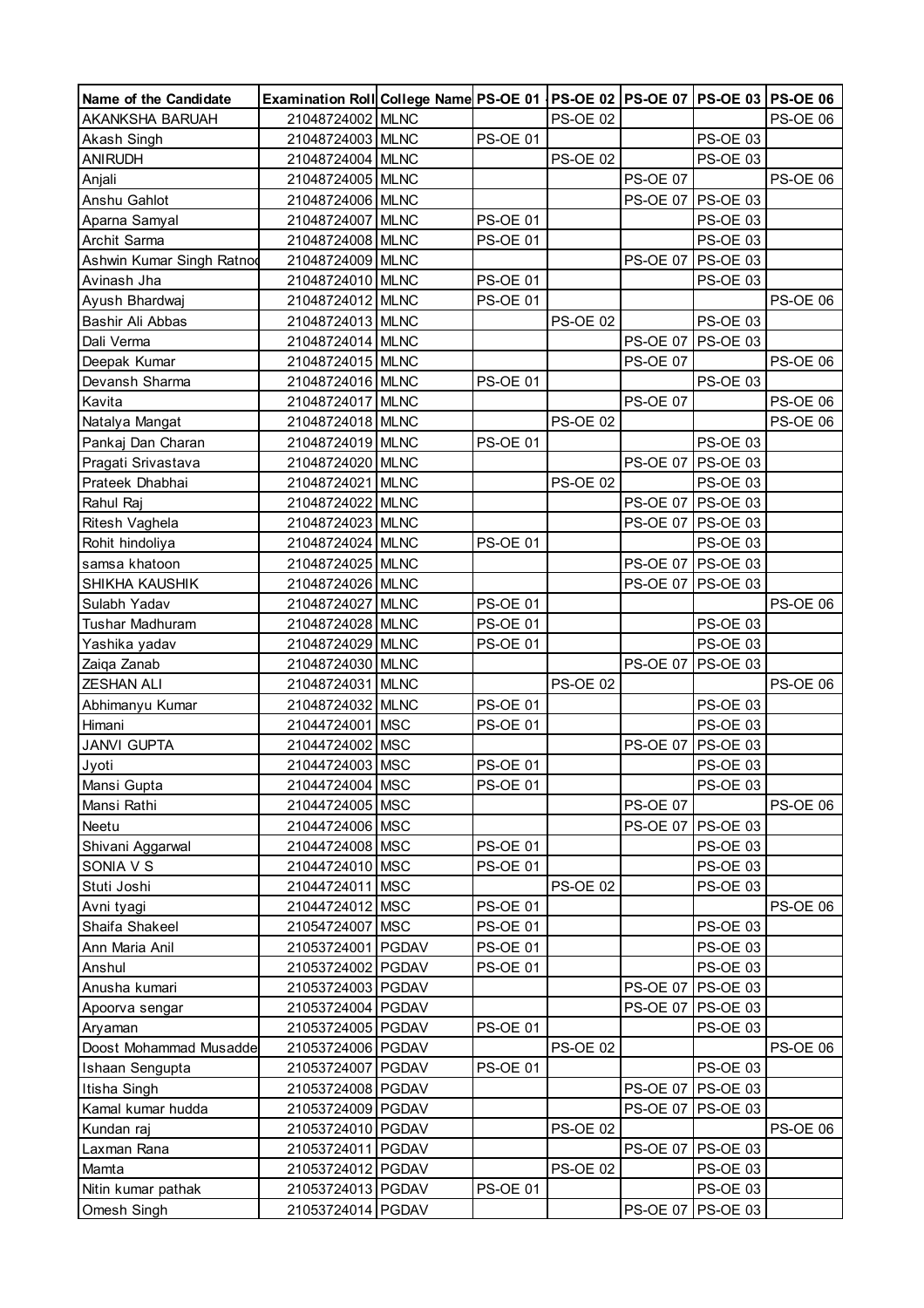| Name of the Candidate        | Examination Roll College Name PS-OE 01   PS-OE 02   PS-OE 07   PS-OE 03   PS-OE 06 |                 |                 |                 |                     |                 |
|------------------------------|------------------------------------------------------------------------------------|-----------------|-----------------|-----------------|---------------------|-----------------|
| AKANKSHA BARUAH              | 21048724002 MLNC                                                                   |                 | <b>PS-OE 02</b> |                 |                     | <b>PS-OE 06</b> |
| Akash Singh                  | 21048724003 MLNC                                                                   | <b>PS-OE 01</b> |                 |                 | PS-OE 03            |                 |
| <b>ANIRUDH</b>               | 21048724004 MLNC                                                                   |                 | <b>PS-OE 02</b> |                 | PS-OE 03            |                 |
| Anjali                       | 21048724005 MLNC                                                                   |                 |                 | <b>PS-OE 07</b> |                     | <b>PS-OE 06</b> |
| Anshu Gahlot                 | 21048724006 MLNC                                                                   |                 |                 | <b>PS-OE 07</b> | PS-OE 03            |                 |
| Aparna Samyal                | 21048724007 MLNC                                                                   | <b>PS-OE 01</b> |                 |                 | PS-OE 03            |                 |
| Archit Sarma                 | 21048724008 MLNC                                                                   | <b>PS-OE 01</b> |                 |                 | <b>PS-OE 03</b>     |                 |
| Ashwin Kumar Singh Ratnod    | 21048724009 MLNC                                                                   |                 |                 | <b>PS-OE 07</b> | <b>PS-OE 03</b>     |                 |
| Avinash Jha                  | 21048724010 MLNC                                                                   | <b>PS-OE 01</b> |                 |                 | <b>PS-OE 03</b>     |                 |
| Ayush Bhardwaj               | 21048724012 MLNC                                                                   | <b>PS-OE 01</b> |                 |                 |                     | <b>PS-OE 06</b> |
| Bashir Ali Abbas             | 21048724013 MLNC                                                                   |                 | <b>PS-OE 02</b> |                 | PS-OE 03            |                 |
| Dali Verma                   | 21048724014 MLNC                                                                   |                 |                 |                 | PS-OE 07 PS-OE 03   |                 |
| Deepak Kumar                 | 21048724015 MLNC                                                                   |                 |                 | <b>PS-OE 07</b> |                     | <b>PS-OE 06</b> |
| Devansh Sharma               | 21048724016 MLNC                                                                   | <b>PS-OE 01</b> |                 |                 | PS-OE 03            |                 |
| Kavita                       | 21048724017 MLNC                                                                   |                 |                 | <b>PS-OE 07</b> |                     | PS-OE 06        |
| Natalya Mangat               | 21048724018 MLNC                                                                   |                 | <b>PS-OE 02</b> |                 |                     | PS-OE 06        |
| Pankaj Dan Charan            | 21048724019 MLNC                                                                   | <b>PS-OE 01</b> |                 |                 | PS-OE 03            |                 |
| Pragati Srivastava           | 21048724020 MLNC                                                                   |                 |                 | <b>PS-OE 07</b> | <b>PS-OE 03</b>     |                 |
| Prateek Dhabhai              | 21048724021 MLNC                                                                   |                 | <b>PS-OE 02</b> |                 | PS-OE 03            |                 |
| Rahul Raj                    | 21048724022 MLNC                                                                   |                 |                 |                 | PS-OE 07 PS-OE 03   |                 |
| Ritesh Vaghela               | 21048724023 MLNC                                                                   |                 |                 |                 | PS-OE 07 PS-OE 03   |                 |
| Rohit hindoliya              | 21048724024 MLNC                                                                   | <b>PS-OE 01</b> |                 |                 | <b>PS-OE 03</b>     |                 |
| samsa khatoon                | 21048724025 MLNC                                                                   |                 |                 |                 | PS-OE 07 PS-OE 03   |                 |
| SHIKHA KAUSHIK               | 21048724026 MLNC                                                                   |                 |                 |                 | PS-OE 07 PS-OE 03   |                 |
| Sulabh Yadav                 | 21048724027 MLNC                                                                   | <b>PS-OE 01</b> |                 |                 |                     | <b>PS-OE 06</b> |
| Tushar Madhuram              | 21048724028 MLNC                                                                   | <b>PS-OE 01</b> |                 |                 | PS-OE 03            |                 |
| Yashika yadav                | 21048724029 MLNC                                                                   | <b>PS-OE 01</b> |                 |                 | PS-OE 03            |                 |
| Zaiqa Zanab                  | 21048724030 MLNC                                                                   |                 |                 | <b>PS-OE 07</b> | <b>PS-OE 03</b>     |                 |
| <b>ZESHAN ALI</b>            | 21048724031 MLNC                                                                   |                 | <b>PS-OE 02</b> |                 |                     | <b>PS-OE 06</b> |
| Abhimanyu Kumar              | 21048724032 MLNC                                                                   | <b>PS-OE 01</b> |                 |                 | <b>PS-OE 03</b>     |                 |
| Himani                       | 21044724001 MSC                                                                    | <b>PS-OE 01</b> |                 |                 | <b>PS-OE 03</b>     |                 |
| <b>JANVI GUPTA</b>           | 21044724002 MSC                                                                    |                 |                 | <b>PS-OE 07</b> | <b>PS-OE 03</b>     |                 |
| Jyoti                        | 21044724003 MSC                                                                    | <b>PS-OE 01</b> |                 |                 | <b>PS-OE 03</b>     |                 |
| Mansi Gupta                  | 21044724004   MSC                                                                  | <b>PS-OE 01</b> |                 |                 | PS-OE 03            |                 |
| Mansi Rathi                  | 21044724005 MSC                                                                    |                 |                 | <b>PS-OE 07</b> |                     | PS-OE 06        |
| Neetu                        | 21044724006 MSC                                                                    |                 |                 |                 | PS-OE 07 PS-OE 03   |                 |
| Shivani Aggarwal             | 21044724008 MSC                                                                    | <b>PS-OE 01</b> |                 |                 | PS-OE 03            |                 |
| SONIA V S                    | 21044724010 MSC                                                                    | <b>PS-OE 01</b> |                 |                 | PS-OE 03            |                 |
| Stuti Joshi                  | 21044724011 MSC                                                                    |                 | <b>PS-OE 02</b> |                 | PS-OE 03            |                 |
|                              | 21044724012 MSC                                                                    | <b>PS-OE 01</b> |                 |                 |                     | <b>PS-OE 06</b> |
| Avni tyagi<br>Shaifa Shakeel | 21054724007 MSC                                                                    | <b>PS-OE 01</b> |                 |                 | PS-OE 03            |                 |
|                              | 21053724001 PGDAV                                                                  | <b>PS-OE 01</b> |                 |                 | PS-OE 03            |                 |
| Ann Maria Anil               |                                                                                    |                 |                 |                 |                     |                 |
| Anshul                       | 21053724002 PGDAV                                                                  | <b>PS-OE 01</b> |                 |                 | PS-OE 03            |                 |
| Anusha kumari                | 21053724003 PGDAV                                                                  |                 |                 | <b>PS-OE 07</b> | <b>PS-OE 03</b>     |                 |
| Apoorva sengar               | 21053724004 PGDAV                                                                  |                 |                 | <b>PS-OE 07</b> | <b>PS-OE 03</b>     |                 |
| Aryaman                      | 21053724005 PGDAV                                                                  | <b>PS-OE 01</b> |                 |                 | PS-OE 03            |                 |
| Doost Mohammad Musadde       | 21053724006 PGDAV                                                                  |                 | <b>PS-OE 02</b> |                 |                     | PS-OE 06        |
| Ishaan Sengupta              | 21053724007 PGDAV                                                                  | <b>PS-OE 01</b> |                 |                 | PS-OE 03            |                 |
| Itisha Singh                 | 21053724008 PGDAV                                                                  |                 |                 | <b>PS-OE 07</b> | PS-OE 03            |                 |
| Kamal kumar hudda            | 21053724009 PGDAV                                                                  |                 |                 |                 | PS-OE 07   PS-OE 03 |                 |
| Kundan raj                   | 21053724010 PGDAV                                                                  |                 | <b>PS-OE 02</b> |                 |                     | <b>PS-OE 06</b> |
| Laxman Rana                  | 21053724011 PGDAV                                                                  |                 |                 | <b>PS-OE 07</b> | $PS-OE$ 03          |                 |
| Mamta                        | 21053724012 PGDAV                                                                  |                 | <b>PS-OE 02</b> |                 | PS-OE 03            |                 |
| Nitin kumar pathak           | 21053724013 PGDAV                                                                  | <b>PS-OE 01</b> |                 |                 | PS-OE 03            |                 |
| Omesh Singh                  | 21053724014 PGDAV                                                                  |                 |                 |                 | PS-OE 07 PS-OE 03   |                 |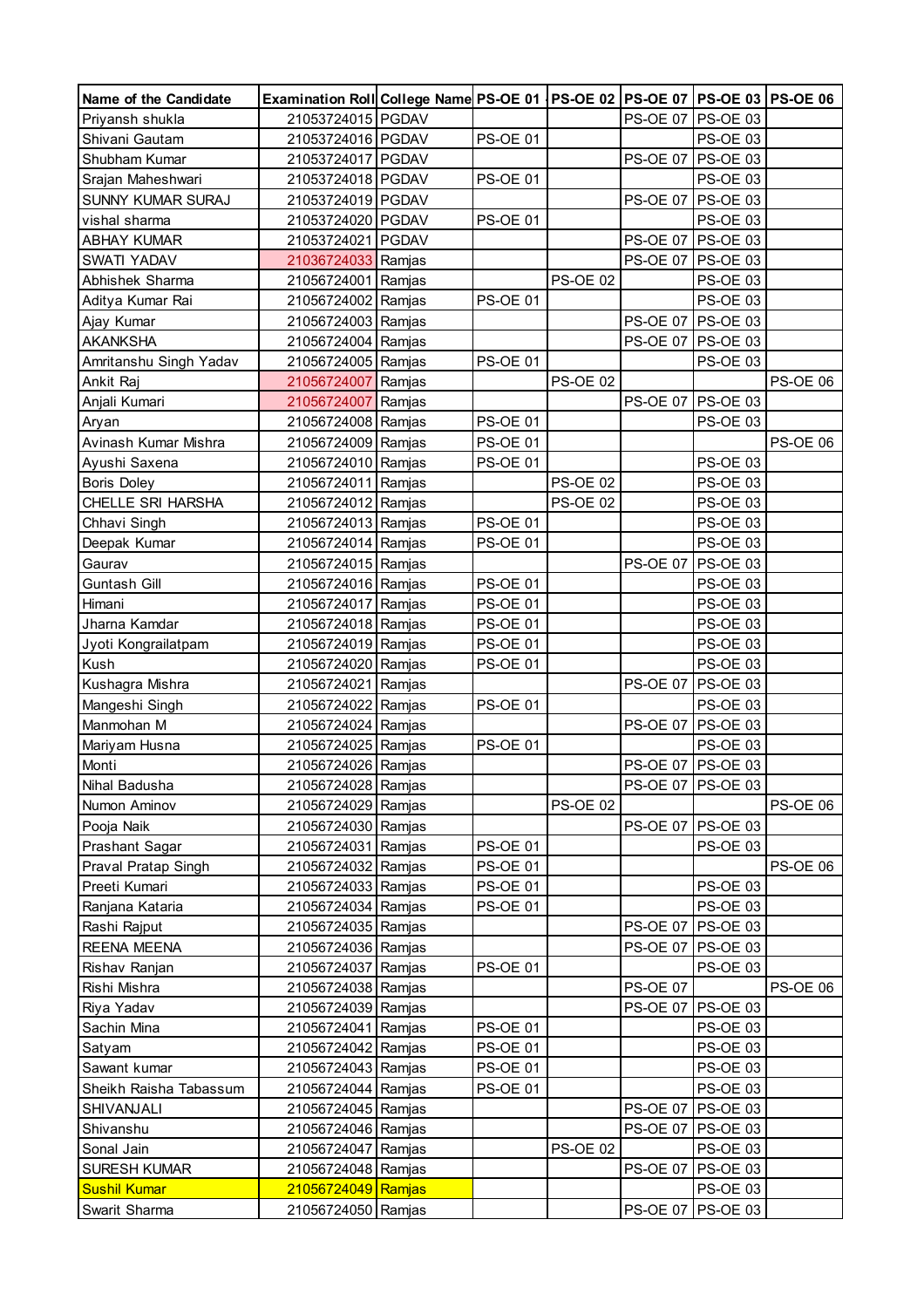| Name of the Candidate         | Examination Roll College Name PS-OE 01   PS-OE 02   PS-OE 07   PS-OE 03   PS-OE 06 |        |                 |                 |                 |                                    |                 |
|-------------------------------|------------------------------------------------------------------------------------|--------|-----------------|-----------------|-----------------|------------------------------------|-----------------|
| Priyansh shukla               | 21053724015 PGDAV                                                                  |        |                 |                 |                 | PS-OE 07 PS-OE 03                  |                 |
| Shivani Gautam                | 21053724016 PGDAV                                                                  |        | <b>PS-OE 01</b> |                 |                 | PS-OE 03                           |                 |
| Shubham Kumar                 | 21053724017 PGDAV                                                                  |        |                 |                 | <b>PS-OE 07</b> | <b>PS-OE 03</b>                    |                 |
| Srajan Maheshwari             | 21053724018 PGDAV                                                                  |        | <b>PS-OE 01</b> |                 |                 | <b>PS-OE 03</b>                    |                 |
| SUNNY KUMAR SURAJ             | 21053724019 PGDAV                                                                  |        |                 |                 | <b>PS-OE 07</b> | PS-OE 03                           |                 |
| vishal sharma                 | 21053724020 PGDAV                                                                  |        | <b>PS-OE 01</b> |                 |                 | PS-OE 03                           |                 |
| <b>ABHAY KUMAR</b>            | 21053724021 PGDAV                                                                  |        |                 |                 |                 | PS-OE 07 PS-OE 03                  |                 |
| SWATI YADAV                   | 21036724033 Ramjas                                                                 |        |                 |                 |                 | PS-OE 07 PS-OE 03                  |                 |
| Abhishek Sharma               | 21056724001 Ramjas                                                                 |        |                 | <b>PS-OE 02</b> |                 | PS-OE 03                           |                 |
| Aditya Kumar Rai              | 21056724002 Ramjas                                                                 |        | <b>PS-OE 01</b> |                 |                 | <b>PS-OE 03</b>                    |                 |
| Ajay Kumar                    | 21056724003 Ramjas                                                                 |        |                 |                 |                 | PS-OE 07 PS-OE 03                  |                 |
| <b>AKANKSHA</b>               | 21056724004 Ramjas                                                                 |        |                 |                 |                 | PS-OE 07 PS-OE 03                  |                 |
| Amritanshu Singh Yadav        | 21056724005 Ramjas                                                                 |        | <b>PS-OE 01</b> |                 |                 | <b>PS-OE 03</b>                    |                 |
| Ankit Raj                     | 21056724007                                                                        | Ramjas |                 | <b>PS-OE 02</b> |                 |                                    | <b>PS-OE 06</b> |
| Anjali Kumari                 | 21056724007                                                                        | Ramjas |                 |                 | <b>PS-OE 07</b> | <b>PS-OE 03</b>                    |                 |
| Aryan                         | 21056724008 Ramjas                                                                 |        | <b>PS-OE 01</b> |                 |                 | <b>PS-OE 03</b>                    |                 |
| Avinash Kumar Mishra          | 21056724009 Ramjas                                                                 |        | <b>PS-OE 01</b> |                 |                 |                                    | <b>PS-OE 06</b> |
| Ayushi Saxena                 | 21056724010 Ramjas                                                                 |        | <b>PS-OE 01</b> |                 |                 | PS-OE 03                           |                 |
| <b>Boris Doley</b>            | 21056724011 Ramjas                                                                 |        |                 | <b>PS-OE 02</b> |                 | <b>PS-OE 03</b>                    |                 |
| CHELLE SRI HARSHA             | 21056724012 Ramjas                                                                 |        |                 | <b>PS-OE 02</b> |                 | <b>PS-OE 03</b>                    |                 |
| Chhavi Singh                  | 21056724013 Ramjas                                                                 |        | <b>PS-OE 01</b> |                 |                 | <b>PS-OE 03</b>                    |                 |
| Deepak Kumar                  | 21056724014 Ramjas                                                                 |        | <b>PS-OE 01</b> |                 |                 | <b>PS-OE 03</b>                    |                 |
| Gaurav                        | 21056724015 Ramjas                                                                 |        |                 |                 | <b>PS-OE 07</b> | <b>PS-OE 03</b>                    |                 |
| Guntash Gill                  | 21056724016 Ramjas                                                                 |        | <b>PS-OE 01</b> |                 |                 | PS-OE 03                           |                 |
| Himani                        | 21056724017 Ramjas                                                                 |        | <b>PS-OE 01</b> |                 |                 | <b>PS-OE 03</b>                    |                 |
| Jharna Kamdar                 | 21056724018 Ramjas                                                                 |        | <b>PS-OE 01</b> |                 |                 | PS-OE 03                           |                 |
| Jyoti Kongrailatpam           | 21056724019 Ramjas                                                                 |        | <b>PS-OE 01</b> |                 |                 | <b>PS-OE 03</b>                    |                 |
| Kush                          | 21056724020 Ramjas                                                                 |        | <b>PS-OE 01</b> |                 |                 | <b>PS-OE 03</b>                    |                 |
| Kushagra Mishra               | 21056724021                                                                        | Ramjas |                 |                 | <b>PS-OE 07</b> | <b>PS-OE 03</b>                    |                 |
| Mangeshi Singh                | 21056724022                                                                        | Ramjas | <b>PS-OE 01</b> |                 |                 | PS-OE 03                           |                 |
| Manmohan M                    | 21056724024 Ramjas                                                                 |        |                 |                 |                 | PS-OE 07 PS-OE 03                  |                 |
| Mariyam Husna                 | 21056724025 Ramjas                                                                 |        | <b>PS-OE 01</b> |                 |                 | <b>PS-OE 03</b>                    |                 |
| Monti                         | 21056724026 Ramjas                                                                 |        |                 |                 |                 | PS-OE 07 PS-OE 03                  |                 |
|                               |                                                                                    |        |                 |                 |                 |                                    |                 |
| Nihal Badusha<br>Numon Aminov | 21056724028 Ramjas<br>21056724029 Ramjas                                           |        |                 | <b>PS-OE 02</b> |                 | PS-OE 07   PS-OE 03                | <b>PS-OE 06</b> |
|                               |                                                                                    |        |                 |                 |                 | PS-OE 07 PS-OE 03                  |                 |
| Pooja Naik                    | 21056724030 Ramjas                                                                 |        | <b>PS-OE 01</b> |                 |                 | PS-OE 03                           |                 |
| <b>Prashant Sagar</b>         | 21056724031 Ramjas                                                                 |        |                 |                 |                 |                                    |                 |
| Praval Pratap Singh           | 21056724032 Ramjas                                                                 |        | <b>PS-OE 01</b> |                 |                 |                                    | PS-OE 06        |
| Preeti Kumari                 | 21056724033 Ramjas                                                                 |        | <b>PS-OE 01</b> |                 |                 | <b>PS-OE 03</b>                    |                 |
| Ranjana Kataria               | 21056724034 Ramjas                                                                 |        | <b>PS-OE 01</b> |                 |                 | <b>PS-OE 03</b><br><b>PS-OE 03</b> |                 |
| Rashi Rajput                  | 21056724035 Ramjas                                                                 |        |                 |                 | <b>PS-OE 07</b> |                                    |                 |
| <b>REENA MEENA</b>            | 21056724036 Ramjas                                                                 |        |                 |                 |                 | PS-OE 07 PS-OE 03                  |                 |
| Rishav Ranjan                 | 21056724037 Ramjas                                                                 |        | <b>PS-OE 01</b> |                 |                 | <b>PS-OE 03</b>                    |                 |
| Rishi Mishra                  | 21056724038 Ramjas                                                                 |        |                 |                 | <b>PS-OE 07</b> |                                    | <b>PS-OE 06</b> |
| Riya Yadav                    | 21056724039 Ramjas                                                                 |        |                 |                 | <b>PS-OE 07</b> | PS-OE 03                           |                 |
| Sachin Mina                   | 21056724041 Ramjas                                                                 |        | <b>PS-OE 01</b> |                 |                 | <b>PS-OE 03</b>                    |                 |
| Satyam                        | 21056724042 Ramjas                                                                 |        | <b>PS-OE 01</b> |                 |                 | PS-OE 03                           |                 |
| Sawant kumar                  | 21056724043 Ramjas                                                                 |        | <b>PS-OE 01</b> |                 |                 | <b>PS-OE 03</b>                    |                 |
| Sheikh Raisha Tabassum        | 21056724044 Ramjas                                                                 |        | <b>PS-OE 01</b> |                 |                 | PS-OE 03                           |                 |
| SHIVANJALI                    | 21056724045 Ramjas                                                                 |        |                 |                 | <b>PS-OE 07</b> | <b>PS-OE 03</b>                    |                 |
| Shivanshu                     | 21056724046 Ramjas                                                                 |        |                 |                 |                 | PS-OE 07   PS-OE 03                |                 |
| Sonal Jain                    | 21056724047 Ramjas                                                                 |        |                 | <b>PS-OE 02</b> |                 | <b>PS-OE 03</b>                    |                 |
| SURESH KUMAR                  | 21056724048 Ramjas                                                                 |        |                 |                 | <b>PS-OE 07</b> | <b>PS-OE 03</b>                    |                 |
| <b>Sushil Kumar</b>           | 21056724049 Ramjas                                                                 |        |                 |                 |                 | PS-OE 03                           |                 |
| Swarit Sharma                 | 21056724050 Ramjas                                                                 |        |                 |                 |                 | PS-OE 07   PS-OE 03                |                 |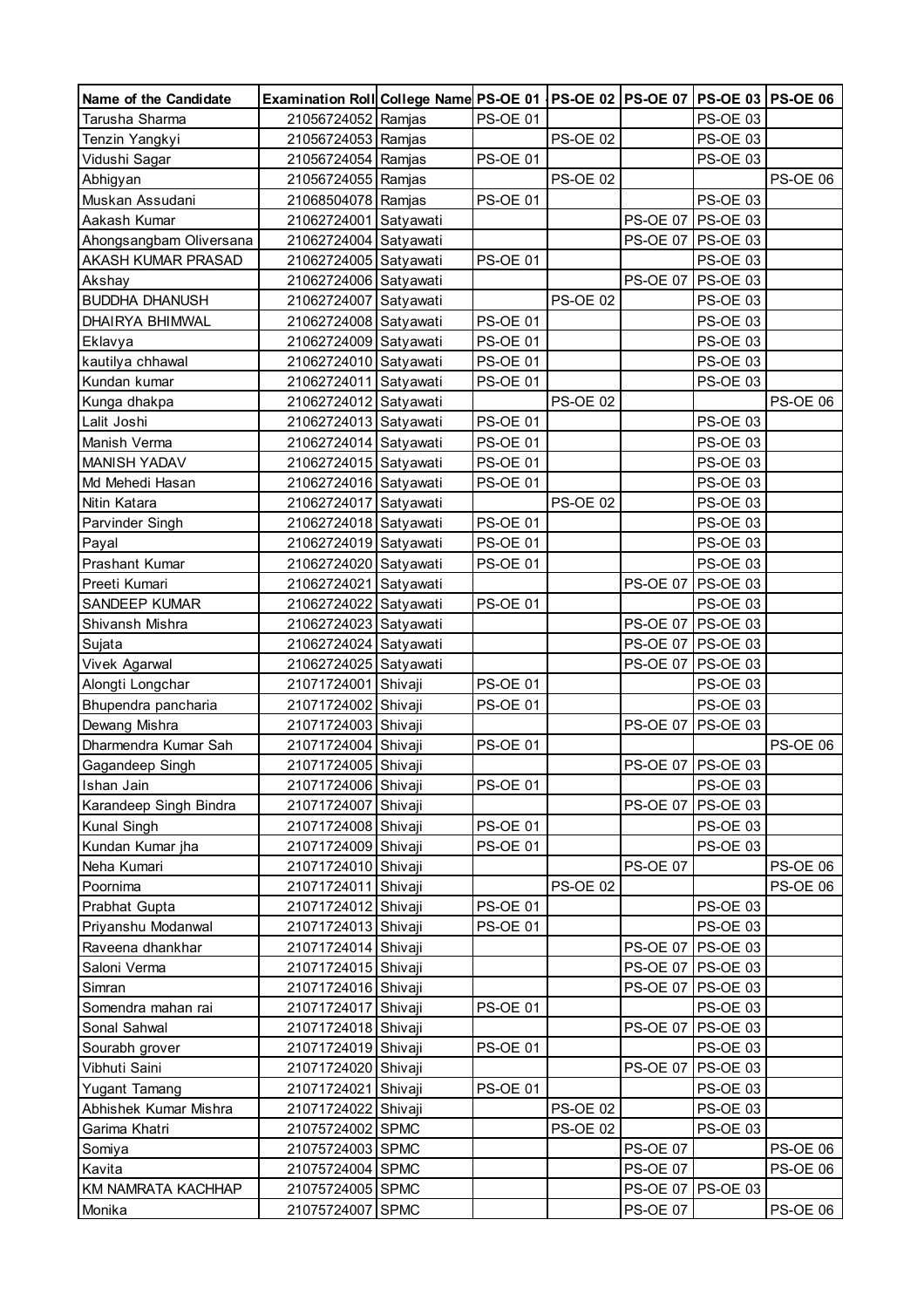| Name of the Candidate                | Examination Roll College Name PS-OE 01   PS-OE 02   PS-OE 07   PS-OE 03   PS-OE 06 |           |                 |                 |                 |                             |                 |
|--------------------------------------|------------------------------------------------------------------------------------|-----------|-----------------|-----------------|-----------------|-----------------------------|-----------------|
| Tarusha Sharma                       | 21056724052 Ramjas                                                                 |           | <b>PS-OE 01</b> |                 |                 | <b>PS-OE 03</b>             |                 |
| Tenzin Yangkyi                       | 21056724053 Ramjas                                                                 |           |                 | <b>PS-OE 02</b> |                 | PS-OE 03                    |                 |
| Vidushi Sagar                        | 21056724054 Ramjas                                                                 |           | <b>PS-OE 01</b> |                 |                 | <b>PS-OE 03</b>             |                 |
| Abhigyan                             | 21056724055 Ramjas                                                                 |           |                 | <b>PS-OE 02</b> |                 |                             | <b>PS-OE 06</b> |
| Muskan Assudani                      | 21068504078 Ramjas                                                                 |           | PS-OE 01        |                 |                 | <b>PS-OE 03</b>             |                 |
| Aakash Kumar                         | 21062724001 Satyawati                                                              |           |                 |                 | <b>PS-OE 07</b> | <b>PS-OE 03</b>             |                 |
| Ahongsangbam Oliversana              | 21062724004 Satyawati                                                              |           |                 |                 |                 | PS-OE 07 PS-OE 03           |                 |
| AKASH KUMAR PRASAD                   | 21062724005 Satyawati                                                              |           | <b>PS-OE 01</b> |                 |                 | <b>PS-OE 03</b>             |                 |
| Akshay                               | 21062724006 Satyawati                                                              |           |                 |                 | <b>PS-OE 07</b> | <b>PS-OE 03</b>             |                 |
| <b>BUDDHA DHANUSH</b>                | 21062724007 Satyawati                                                              |           |                 | <b>PS-OE 02</b> |                 | <b>PS-OE 03</b>             |                 |
| DHAIRYA BHIMWAL                      | 21062724008 Satyawati                                                              |           | <b>PS-OE 01</b> |                 |                 | <b>PS-OE 03</b>             |                 |
| Eklavya                              | 21062724009 Satyawati                                                              |           | <b>PS-OE 01</b> |                 |                 | <b>PS-OE 03</b>             |                 |
| kautilya chhawal                     | 21062724010 Satyawati                                                              |           | <b>PS-OE 01</b> |                 |                 | <b>PS-OE 03</b>             |                 |
| Kundan kumar                         | 21062724011 Satyawati                                                              |           | <b>PS-OE 01</b> |                 |                 | <b>PS-OE 03</b>             |                 |
| Kunga dhakpa                         | 21062724012 Satyawati                                                              |           |                 | <b>PS-OE 02</b> |                 |                             | PS-OE 06        |
| Lalit Joshi                          | 21062724013 Satyawati                                                              |           | <b>PS-OE 01</b> |                 |                 | PS-OE 03                    |                 |
| Manish Verma                         | 21062724014 Satyawati                                                              |           | <b>PS-OE 01</b> |                 |                 | <b>PS-OE 03</b>             |                 |
| MANISH YADAV                         | 21062724015 Satyawati                                                              |           | <b>PS-OE 01</b> |                 |                 | <b>PS-OE 03</b>             |                 |
| Md Mehedi Hasan                      | 21062724016 Satyawati                                                              |           | <b>PS-OE 01</b> |                 |                 | <b>PS-OE 03</b>             |                 |
| Nitin Katara                         | 21062724017 Satyawati                                                              |           |                 | <b>PS-OE 02</b> |                 | <b>PS-OE 03</b>             |                 |
| Parvinder Singh                      | 21062724018 Satyawati                                                              |           | <b>PS-OE 01</b> |                 |                 | <b>PS-OE 03</b>             |                 |
| Payal                                | 21062724019 Satyawati                                                              |           | <b>PS-OE 01</b> |                 |                 | <b>PS-OE 03</b>             |                 |
| Prashant Kumar                       | 21062724020 Satyawati                                                              |           | <b>PS-OE 01</b> |                 |                 | PS-OE 03                    |                 |
| Preeti Kumari                        | 21062724021                                                                        | Satyawati |                 |                 | <b>PS-OE 07</b> | <b>PS-OE 03</b>             |                 |
| SANDEEP KUMAR                        | 21062724022                                                                        | Satyawati | <b>PS-OE 01</b> |                 |                 | PS-OE 03                    |                 |
| Shivansh Mishra                      | 21062724023 Satyawati                                                              |           |                 |                 |                 | PS-OE 07 PS-OE 03           |                 |
| Sujata                               | 21062724024 Satyawati                                                              |           |                 |                 |                 | PS-OE 07 PS-OE 03           |                 |
| Vivek Agarwal                        | 21062724025 Satyawati                                                              |           |                 |                 |                 | PS-OE 07   PS-OE 03         |                 |
| Alongti Longchar                     | 21071724001 Shivaji                                                                |           | <b>PS-OE 01</b> |                 |                 | PS-OE 03                    |                 |
| Bhupendra pancharia                  | 21071724002                                                                        | Shivaji   | <b>PS-OE 01</b> |                 |                 | <b>PS-OE 03</b>             |                 |
| Dewang Mishra                        | 21071724003 Shivaji                                                                |           |                 |                 | <b>PS-OE 07</b> | PS-OE 03                    |                 |
| Dharmendra Kumar Sah                 | 21071724004 Shivaji                                                                |           | <b>PS-OE 01</b> |                 |                 |                             | <b>PS-OE 06</b> |
| Gagandeep Singh                      | 21071724005 Shivaji                                                                |           |                 |                 |                 | PS-OE 07 PS-OE 03           |                 |
|                                      |                                                                                    |           |                 |                 |                 |                             |                 |
| Ishan Jain<br>Karandeep Singh Bindra | 21071724006 Shivaji<br>21071724007 Shivaji                                         |           | PS-OE 01        |                 | <b>PS-OE 07</b> | PS-OE 03<br><b>PS-OE 03</b> |                 |
| Kunal Singh                          | 21071724008 Shivaji                                                                |           | <b>PS-OE 01</b> |                 |                 | PS-OE 03                    |                 |
| Kundan Kumar jha                     | 21071724009 Shivaji                                                                |           | <b>PS-OE 01</b> |                 |                 | PS-OE 03                    |                 |
| Neha Kumari                          | 21071724010 Shivaji                                                                |           |                 |                 | <b>PS-OE 07</b> |                             | PS-OE 06        |
| Poornima                             | 21071724011 Shivaji                                                                |           |                 | <b>PS-OE 02</b> |                 |                             | PS-OE 06        |
| Prabhat Gupta                        | 21071724012 Shivaji                                                                |           | <b>PS-OE 01</b> |                 |                 | <b>PS-OE 03</b>             |                 |
| Priyanshu Modanwal                   | 21071724013 Shivaji                                                                |           | <b>PS-OE 01</b> |                 |                 | PS-OE 03                    |                 |
| Raveena dhankhar                     | 21071724014 Shivaji                                                                |           |                 |                 |                 | PS-OE 07 PS-OE 03           |                 |
| Saloni Verma                         |                                                                                    |           |                 |                 |                 | PS-OE 07 PS-OE 03           |                 |
|                                      | 21071724015 Shivaji                                                                |           |                 |                 |                 | PS-OE 07 PS-OE 03           |                 |
| Simran<br>Somendra mahan rai         | 21071724016 Shivaji<br>21071724017 Shivaji                                         |           | <b>PS-OE 01</b> |                 |                 | PS-OE 03                    |                 |
|                                      |                                                                                    |           |                 |                 |                 |                             |                 |
| Sonal Sahwal                         | 21071724018 Shivaji                                                                |           | <b>PS-OE 01</b> |                 |                 | PS-OE 07   PS-OE 03         |                 |
| Sourabh grover                       | 21071724019 Shivaji                                                                |           |                 |                 | <b>PS-OE 07</b> | PS-OE 03<br><b>PS-OE 03</b> |                 |
| Vibhuti Saini                        | 21071724020 Shivaji                                                                |           |                 |                 |                 |                             |                 |
| Yugant Tamang                        | 21071724021 Shivaji                                                                |           | <b>PS-OE 01</b> |                 |                 | PS-OE 03                    |                 |
| Abhishek Kumar Mishra                | 21071724022 Shivaji                                                                |           |                 | <b>PS-OE 02</b> |                 | PS-OE 03                    |                 |
| Garima Khatri                        | 21075724002 SPMC                                                                   |           |                 | <b>PS-OE 02</b> |                 | PS-OE 03                    |                 |
| Somiya                               | 21075724003 SPMC                                                                   |           |                 |                 | <b>PS-OE 07</b> |                             | PS-OE 06        |
| Kavita                               | 21075724004 SPMC                                                                   |           |                 |                 | <b>PS-OE 07</b> |                             | PS-OE 06        |
| KM NAMRATA KACHHAP                   | 21075724005 SPMC                                                                   |           |                 |                 |                 | PS-OE 07 PS-OE 03           |                 |
| Monika                               | 21075724007 SPMC                                                                   |           |                 |                 | <b>PS-OE 07</b> |                             | <b>PS-OE 06</b> |